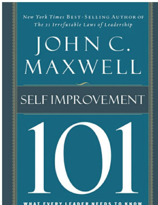New York Times BEST-SELLING AUTHOR OF The 21 Irrefutable Laws of Leadership

# JOHN C. MAXWELL

## **SELF IMPROVEMENT**

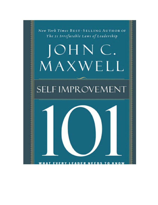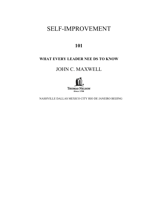### SELF-IMPROVEMENT

#### **101**

#### **WHAT EVERY LEADER NEE DS TO KNOW**

#### JOHN C. MAXWELL



NASHVILLE DALLAS MEXICO CITY RIO DE JANEIRO BEIJING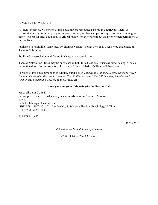© 2009 by John C. Maxwell

All rights reserved. No portion of this book may be reproduced, stored in a retrieval system, or transmitted in any form or by any means—electronic, mechanical, photocopy, recording, scanning, or other—except for brief quotations in critical reviews or articles, without the prior written permission of the publisher.

Published in Nashville, Tennessee, by Thomas Nelson. Thomas Nelson is a registered trademark of Thomas Nelson, Inc.

Published in association with Yates & Yates, www.yates2.com.

Thomas Nelson, Inc., titles may be purchased in bulk for educational, business, fund-raising, or sales promotional use. For information, please e-mail SpecialMarkets@ThomasNelson.com.

Portions of this book have been previously published in *Your Road Map for Success*, *Talent Is Never Enough*, *Developing the Leaders Around You*, *Failing Forward*, *The 360º Leader*, *Winning with People*, and *Leadership Gold* by John C. Maxwell.

#### **Library of Congress Cataloging-in-Publication Data**

Maxwell, John C., 1947– Self-improvement 101 : what every leader needs to know / John C. Maxwell. p. cm. Includes bibliographical references. ISBN 978-1-4002-8024-7 1. Leadership. 2. Self-actualization (Psychology) I. Title. HD57.7.M39428 2009

658.4'092—dc22

2009028418

*Printed in the United States of America*

09 10 11 12 13 WC 6 5 4 3 2 1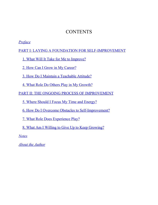#### **CONTENTS**

#### <span id="page-4-0"></span>*[Preface](#page-5-0)*

#### <span id="page-4-1"></span>PART I: LAYING A FOUNDATION FOR [SELF-IMPROVEMENT](#page-6-0)

- <span id="page-4-2"></span>1. What Will It Take for Me to [Improve?](#page-7-0)
- <span id="page-4-3"></span>2. How Can I Grow in My [Career?](#page-16-0)
- <span id="page-4-4"></span>3. How Do I Maintain a [Teachable](#page-22-0) Attitude?
- <span id="page-4-5"></span>4. What Role Do Others Play in My [Growth?](#page-31-0)
- PART II: THE ONGOING PROCESS OF [IMPROVEMENT](#page-39-0)
	- 5. Where Should I Focus My Time and [Energy?](#page-40-0)
	- 6. How Do I Overcome Obstacles to [Self-Improvement?](#page-48-0)
	- 7. What Role Does [Experience](#page-56-0) Play?
	- 8. What Am I Willing to Give Up to Keep [Growing?](#page-64-0)

*[Notes](#page-72-0)*

*About the [Author](#page-74-0)*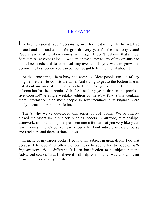#### **[PREFACE](#page-4-0)**

<span id="page-5-0"></span>**I**'ve been passionate about personal growth for most of my life. In fact, I've created and pursued a plan for growth every year for the last forty years! People say that wisdom comes with age. I don't believe that's true. Sometimes age comes alone. I wouldn't have achieved any of my dreams had I not been dedicated to continual improvement. If you want to grow and become the best person you can be, you've got to be intentional about it.

At the same time, life is busy and complex. Most people run out of day long before their to-do lists are done. And trying to get to the bottom line in just about any area of life can be a challenge. Did you know that more new information has been produced in the last thirty years than in the previous five thousand? A single weekday edition of the *New York Times* contains more information than most people in seventeenth-century England were likely to encounter in their lifetimes.

That's why we've developed this series of 101 books. We've cherrypicked the essentials in subjects such as leadership, attitude, relationships, teamwork, and mentoring and put them into a format that you very likely can read in one sitting. Or you can easily toss a 101 book into a briefcase or purse and read here and there as time allows.

In many of my larger books, I go into my subject in great depth. I do that because I believe it is often the best way to add value to people. *Self-Improvement* 101 is different. It is an introduction to a subject, not the "advanced course." But I believe it will help you on your way to significant growth in this area of your life.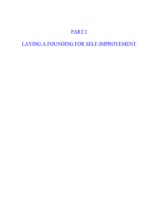#### PART I

#### <span id="page-6-0"></span>LAYING A FOUNDING FOR [SELF-IMPROVEMENT](#page-4-1)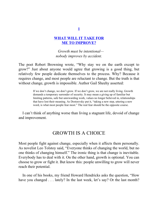#### **WHAT WILL IT TAKE FOR ME TO [IMPROVE?](#page-4-2)**

*Growth must be intentional nobody improves by accident.*

<span id="page-7-0"></span>The poet Robert Browning wrote, "Why stay we on the earth except to grow?" Just about anyone would agree that growing is a good thing, but relatively few people dedicate themselves to the process. Why? Because it requires change, and most people are reluctant to change. But the truth is that without change, growth is impossible. Author Gail Sheehy asserted:

> If we don't change, we don't grow. If we don't grow, we are not really living. Growth demands a temporary surrender of security. It may mean a giving up of familiar but limiting patterns, safe but unrewarding work, values no longer believed in, relationships that have lost their meaning. As Dostoevsky put it, "taking a new step, uttering a new word, is what most people fear most." The real fear should be the opposite course.

I can't think of anything worse than living a stagnant life, devoid of change and improvement.

#### GROWTH IS A CHOICE

Most people fight against change, especially when it affects them personally. As novelist Leo Tolstoy said, "Everyone thinks of changing the world, but no one thinks of changing himself." The ironic thing is that change is inevitable. Everybody has to deal with it. On the other hand, growth is optional. You can choose to grow or fight it. But know this: people unwilling to grow will never reach their potential.

In one of his books, my friend Howard Hendricks asks the question, "How have you changed . . . lately? In the last week, let's say? Or the last month?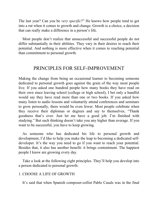The last year? Can you be *very specific*?" He knows how people tend to get into a rut when it comes to growth and change. Growth is a choice, a decision that can really make a difference in a person's life.

Most people don't realize that unsuccessful and successful people do not differ substantially in their abilities. They vary in their desires to reach their potential. And nothing is more effective when it comes to reaching potential than commitment to personal growth.

#### PRINCIPLES FOR SELF-IMPROVEMENT

Making the change from being an occasional learner to becoming someone dedicated to personal growth goes against the grain of the way most people live. If you asked one hundred people how many books they have read on their own since leaving school (college or high school), I bet only a handful would say they have read more than one or two books. If you asked how many listen to audio lessons and voluntarily attend conferences and seminars to grow personally, there would be even fewer. Most people celebrate when they receive their diplomas or degrees and say to themselves, "Thank goodness that's over. Just let me have a good job. I'm finished with studying." But such thinking doesn't take you any higher than average. If you want to be successful, you have to keep growing.

As someone who has dedicated his life to personal growth and development, I'd like to help you make the leap to becoming a dedicated selfdeveloper. It's the way you need to go if you want to reach your potential. Besides that, it also has another benefit: it brings contentment. The happiest people I know are growing every day.

Take a look at the following eight principles. They'll help you develop into a person dedicated to personal growth:

#### 1. CHOOSE A LIFE OF GROWTH

It's said that when Spanish composer-cellist Pablo Casals was in the final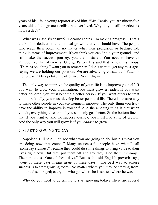years of his life, a young reporter asked him, "Mr. Casals, you are ninety-five years old and the greatest cellist that ever lived. Why do you still practice six hours a day?"

What was Casals's answer? "Because I think I'm making progress." That's the kind of dedication to continual growth that you should have. The people who reach their potential, no matter what their profession or background, think in terms of improvement. If you think you can "hold your ground" and still make the success journey, you are mistaken. You need to have an attitude like that of General George Patton. It's said that he told his troops, "There is one thing I want you to remember. I don't want to get any messages saying we are holding our position. We are advancing constantly." Patton's motto was, "Always take the offensive. Never dig in."

The only way to improve the quality of your life is to improve yourself. If you want to grow your organization, you must grow a leader. If you want better children, you must become a better person. If you want others to treat you more kindly, you must develop better people skills. There is no sure way to make other people in your environment improve. The only thing you truly have the ability to improve is yourself. And the amazing thing is that when you do, everything else around you suddenly gets better. So the bottom line is that if you want to take the success journey, you must live a life of growth. And the only way you will grow is if you *choose* to grow.

#### 2. START GROWING TODAY

Napoleon Hill said, "It's not what you are going to do, but it's what you are doing now that counts." Many unsuccessful people have what I call "someday sickness" because they could do some things to bring value to their lives right now. But they put them off and say they'll do them *someday* . Their motto is "One of these days." But as the old English proverb says, "*One* of these days means *none* of these days." The best way to ensure success is to start growing today. No matter where you may be starting from, don't be discouraged; everyone who got where he is started where he was.

Why do you need to determine to start growing today? There are several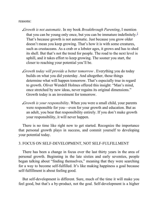#### reasons:

- *Growth is not automatic*. In my book *Breakthrough Parenting*, I mention that you can be young only once, but you can be immature indefinitely.<sup>[1](#page-72-1)</sup> That's because growth is not automatic. Just because you grow older doesn't mean you keep growing. That's how it is with some creatures, such as crustaceans. As a crab or a lobster ages, it grows and has to shed its shell. But that's not the trend for people. The road to the next level is uphill, and it takes effort to keep growing. The sooner you start, the closer to reaching your potential you'll be.
- *Growth today will provide a better tomorrow* . Everything you do today builds on what you did yesterday. And altogether, those things determine what will happen tomorrow. That's especially true in regard to growth. Oliver Wendell Holmes offered this insight: "Man's mind, once stretched by new ideas, never regains its original dimensions." Growth today is an investment for tomorrow.
- *Growth is your responsibility*. When you were a small child, your parents were responsible for you—even for your growth and education. But as an adult, you bear that responsibility entirely. If you don't make growth your responsibility, it will never happen.

There is no time like right now to get started. Recognize the importance that personal growth plays in success, and commit yourself to developing your potential today.

#### 3. FOCUS ON SELF-DEVELOPMENT, NOT SELF-FULFILLMENT

There has been a change in focus over the last thirty years in the area of personal growth. Beginning in the late sixties and early seventies, people began talking about "finding themselves," meaning that they were searching for a way to become self-fulfilled. It's like making happiness a goal because self-fulfillment is about feeling good.

But self-development is different. Sure, much of the time it will make you feel good, but that's a by-product, not the goal. Self-development is a higher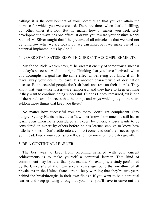calling; it is the development of your potential so that you can attain the purpose for which you were created. There are times when that's fulfilling, but other times it's not. But no matter how it makes you feel, selfdevelopment always has one effect: It draws you toward your destiny. Rabbi Samuel M. Silver taught that "the greatest of all miracles is that we need not be tomorrow what we are today, but we can improve if we make use of the potential implanted in us by God."

#### 4. NEVER STAY SATISFIED WITH CURRENT ACCOMPLISHMENTS

My friend Rick Warren says, "The greatest enemy of tomorrow's success is today's success." And he is right. Thinking that you have "arrived" when you accomplish a goal has the same effect as believing you know it all. It takes away your desire to learn. It's another characteristic of destination disease. But successful people don't sit back and rest on their laurels. They know that wins—like losses—are temporary, and they have to keep growing if they want to continue being successful. Charles Handy remarked, "It is one of the paradoxes of success that the things and ways which got you there are seldom those things that keep you there."

No matter how successful you are today, don't get complacent. Stay hungry. Sydney Harris insisted that "a winner knows how much he still has to learn, even when he is considered an expert by others; a loser wants to be considered an expert by others before he has learned enough to know how little he knows." Don't settle into a comfort zone, and don't let success go to your head. Enjoy your success briefly, and then move on to greater growth.

#### 5. BE A CONTINUAL LEARNER

The best way to keep from becoming satisfied with your current achievements is to make yourself a continual learner. That kind of commitment may be rarer than you realize. For example, a study performed by the University of Michigan several years ago found that one-third of all physicians in the United States are so busy working that they're two years behind the breakthroughs in their own fields.<sup>[2](#page-72-2)</sup> If you want to be a continual learner and keep growing throughout your life, you'll have to carve out the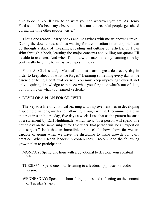time to do it. You'll have to do what you can wherever you are. As Henry Ford said, "It's been my observation that most successful people get ahead during the time other people waste."

That's one reason I carry books and magazines with me whenever I travel. During the downtimes, such as waiting for a connection in an airport, I can go through a stack of magazines, reading and cutting out articles. Or I can skim through a book, learning the major concepts and pulling out quotes I'll be able to use later. And when I'm in town, I maximize my learning time by continually listening to instructive tapes in the car.

Frank A. Clark stated, "Most of us must learn a great deal every day in order to keep ahead of what we forget." Learning something every day is the essence of being a continual learner. You must keep improving yourself, not only acquiring knowledge to replace what you forget or what's out-of-date, but building on what you learned yesterday.

#### 6. DEVELOP A PLAN FOR GROWTH

The key to a life of continual learning and improvement lies in developing a specific plan for growth and following through with it. I recommend a plan that requires an hour a day, five days a week. I use that as the pattern because of a statement by Earl Nightingale, which says, "If a person will spend one hour a day on the same subject for five years, that person will be an expert on that subject." Isn't that an incredible promise? It shows how far we are capable of going when we have the discipline to make growth our daily practice. When I teach leadership conferences, I recommend the following growth plan to participants:

MONDAY: Spend one hour with a devotional to develop your spiritual life.

- TUESDAY: Spend one hour listening to a leadership podcast or audio lesson.
- WEDNESDAY: Spend one hour filing quotes and reflecting on the content of Tuesday's tape.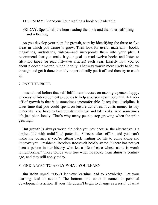THURSDAY: Spend one hour reading a book on leadership.

FRIDAY: Spend half the hour reading the book and the other half filing and reflecting.

As you develop your plan for growth, start by identifying the three to five areas in which you desire to grow. Then look for useful materials—books, magazines, audiotapes, videos—and incorporate them into your plan. I recommend that you make it your goal to read twelve books and listen to fifty-two tapes (or read fifty-two articles) each year. Exactly how you go about it doesn't matter, but do it daily. That way you're more likely to follow through and get it done than if you periodically put it off and then try to catch up.

#### 7. PAY THE PRICE

I mentioned before that self-fulfillment focuses on making a person happy, whereas self-development proposes to help a person reach potential. A tradeoff of growth is that it is sometimes uncomfortable. It requires discipline. It takes time that you could spend on leisure activities. It costs money to buy materials. You have to face constant change and take risks. And sometimes it's just plain lonely. That's why many people stop growing when the price gets high.

But growth is always worth the price you pay because the alternative is a limited life with unfulfilled potential. Success takes effort, and you can't make the journey if you're sitting back waiting for life to come along and improve you. President Theodore Roosevelt boldly stated, "There has not yet been a person in our history who led a life of ease whose name is worth remembering." Those words were true when he spoke them almost a century ago, and they still apply today.

#### 8. FIND A WAY TO APPLY WHAT YOU LEARN

Jim Rohn urged, "Don't let your learning lead to knowledge. Let your learning lead to action." The bottom line when it comes to personal development is action. If your life doesn't begin to change as a result of what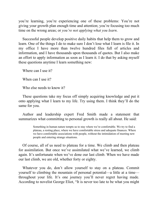you're learning, you're experiencing one of these problems: You're not giving your growth plan enough time and attention; you're focusing too much time on the wrong areas; or *you're not applying what you learn*.

Successful people develop positive daily habits that help them to grow and learn. One of the things I do to make sure I don't lose what I learn is file it. In my office I have more than twelve hundred files full of articles and information, and I have thousands upon thousands of quotes. But I also make an effort to apply information as soon as I learn it. I do that by asking myself these questions anytime I learn something new:

Where can I use it?

When can I use it?

Who else needs to know it?

These questions take my focus off simply acquiring knowledge and put it onto applying what I learn to my life. Try using them. I think they'll do the same for you.

Author and leadership expert Fred Smith made a statement that summarizes what committing to personal growth is really all about. He said:

> Something in human nature tempts us to stay where we're comfortable. We try to find a plateau, a resting place, where we have comfortable stress and adequate finances. Where we have comfortable associations with people, without the intimidation of meeting new people and entering strange situations.

Of course, all of us need to plateau for a time. We climb and then plateau for assimilation. But once we've assimilated what we've learned, we climb again. It's unfortunate when we've done our last climb. When we have made our last climb, we are old, whether forty or eighty.

Whatever you do, don't allow yourself to stay on a plateau. Commit yourself to climbing the mountain of personal potential—a little at a time throughout your life. It's one journey you'll never regret having made. According to novelist George Eliot, "It is never too late to be what you might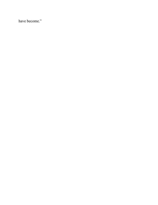have become."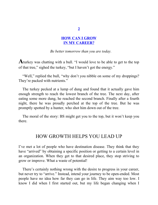#### **HOW CAN I GROW IN MY [CAREER?](#page-4-3)**

*Be better tomorrow than you are today.*

<span id="page-16-0"></span>**A**turkey was chatting with <sup>a</sup> bull. "I would love to be able to get to the top of that tree," sighed the turkey, "but I haven't got the energy."

"Well," replied the bull, "why don't you nibble on some of my droppings? They're packed with nutrients."

The turkey pecked at a lump of dung and found that it actually gave him enough strength to reach the lowest branch of the tree. The next day, after eating some more dung, he reached the second branch. Finally after a fourth night, there he was proudly perched at the top of the tree. But he was promptly spotted by a hunter, who shot him down out of the tree.

The moral of the story: BS might get you to the top, but it won't keep you there.

#### HOW GROWTH HELPS YOU LEAD UP

I've met a lot of people who have destination disease. They think that they have "arrived" by obtaining a specific position or getting to a certain level in an organization. When they get to that desired place, they stop striving to grow or improve. What a waste of potential!

There's certainly nothing wrong with the desire to progress in your career, but never try to "arrive." Instead, intend your journey to be open-ended. Most people have no idea how far they can go in life. They aim way too low. I know I did when I first started out, but my life began changing when I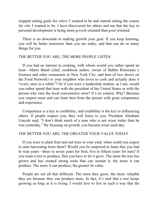stopped setting goals for *where* I wanted to be and started setting the course for *who* I wanted to be. I have discovered for others and me that the key to personal development is being more *growth* oriented than *goal* oriented.

There is no downside to making growth your goal. If you keep learning, you will be better tomorrow than you are today, and that can do so many things for you.

#### THE BETTER YOU ARE, THE MORE PEOPLE LISTEN

If you had an interest in cooking, with whom would you rather spend an hour—Mario Batali (chef, cookbook author, owner of Babbo Ristorante e Enoteca and other restaurants in New York City, and host of two shows on the Food Network) or your neighbor who loves to cook and actually does it "every once in a while"? Or if you were a leadership student, as I am, would you rather spend that hour with the president of the United States or with the person who runs the local convenience store? It's no contest. Why? Because you respect most and can learn best from the person with great competence and experience.

Competence is a key to credibility, and credibility is the key to influencing others. If people respect you, they will listen to you. President Abraham Lincoln said, "I don't think much of a man who is not wiser today than he was yesterday." By focusing on growth, you become wiser each day.

#### THE BETTER YOU ARE, THE GREATER YOUR VALUE TODAY

If you were to plant fruit and nut trees in your yard, when could you expect to start harvesting from them? Would you be surprised to learn that you had to wait years—three to seven years for fruit, five to fifteen years for nuts? If you want a tree to produce, first you have to let it grow. The more the tree has grown and has created strong roots that can sustain it, the more it can produce. The more it can produce, the greater its value.

People are not all that different. The more they grow, the more valuable they are because they can produce more. In fact, it's said that a tree keeps growing as long as it is living. I would love to live in such a way that the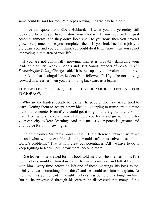same could be said for me—"he kept growing until the day he died."

I love this quote from Elbert Hubbard: "If what you did yesterday still looks big to you, you haven't done much today." If you look back at past accomplishments, and they don't look small to you now, then you haven't grown very much since you completed them. If you look back at a job you did years ago, and you don't think you could do it better now, then you're not improving in that area of your life.

If you are not continually growing, then it is probably damaging your leadership ability. Warren Bennis and Bert Nanus, authors of *Leaders: The Strategies for Taking Charge*, said, "It is the capacity to develop and improve their skills that distinguishes leaders from followers."<sup>[1](#page-72-3)</sup> If you're not moving forward as a learner, then you are moving backward as a leader.

#### THE BETTER YOU ARE, THE GREATER YOUR POTENTIAL FOR TOMORROW

Who are the hardest people to teach? The people who have never tried to learn. Getting them to accept a new idea is like trying to transplant a tomato plant into concrete. Even if you could get it to go into the ground, you know it isn't going to survive anyway. The more you learn and grow, the greater your capacity to keep learning. And that makes your potential greater and your value for tomorrow higher.

Indian reformer Mahatma Gandhi said, "The difference between what we do and what we are capable of doing would suffice to solve most of the world's problems." That is how great our potential is. All we have to do is keep fighting to learn more, grow more, become more.

One leader I interviewed for this book told me that when he was in his first job, his boss would sit him down after he made a mistake and talk it through with him. Every time before he left one of those meetings, his boss asked, "Did you learn something from this?" and he would ask him to explain. At the time, this young leader thought his boss was being pretty tough on him. But as he progressed through his career, he discovered that many of his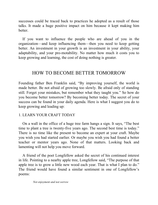successes could be traced back to practices he adopted as a result of those talks. It made a huge positive impact on him because it kept making him better.

If you want to influence the people who are ahead of you in the organization—and keep influencing them—then you need to keep getting better. An investment in your growth is an investment in your ability, your adaptability, and your pro-motability. No matter how much it costs you to keep growing and learning, the cost of doing nothing is greater.

#### HOW TO BECOME BETTER TOMORROW

Founding father Ben Franklin said, "By improving yourself, the world is made better. Be not afraid of growing too slowly. Be afraid only of standing still. Forget your mistakes, but remember what they taught you." So how do you become better tomorrow? By becoming better today. The secret of your success can be found in your daily agenda. Here is what I suggest you do to keep growing and leading up:

#### 1. LEARN YOUR CRAFT TODAY

On a wall in the office of a huge tree farm hangs a sign. It says, "The best time to plant a tree is twenty-five years ago. The second best time is today." There is no time like the present to become an expert at your craft. Maybe you wish you had started earlier. Or maybe you wish you had found a better teacher or mentor years ago. None of that matters. Looking back and lamenting will not help you move forward.

A friend of the poet Longfellow asked the secret of his continued interest in life. Pointing to a nearby apple tree, Longfellow said, "The purpose of that apple tree is to grow a little new wood each year. That is what I plan to do." The friend would have found a similar sentiment in one of Longfellow's poems:

#### *Not enjoyment and not sorrow*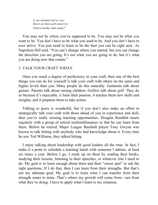*Is our destined end or way; But to act that each tomorrow Find us further than today.* [2](#page-72-4)

You may not be where you're supposed to be. You may not be what you want to be. You don't have to be what you used to be. And you don't have to ever arrive. You just need to learn to be the best you can be right now. As Napoleon Hill said, "You can't change where you started, but you can change the direction you are going. It's not what you are going to do, but it's what you are doing now that counts."

#### 2. TALK YOUR CRAFT TODAY

Once you reach a degree of proficiency in your craft, then one of the best things you can do for yourself is talk your craft with others on the same and higher levels than you. Many people do this naturally. Guitarists talk about guitars. Parents talk about raising children. Golfers talk about golf. They do so because it's enjoyable, it fuels their passion, it teaches them new skills and insights, and it prepares them to take action.

Talking to peers is wonderful, but if you don't also make an effort to strategically talk your craft with those ahead of you in experience and skill, then you're really missing learning opportunities. Douglas Randlett meets regularly with a group of retired multimillionaires so that he can learn from them. Before he retired, Major League Baseball player Tony Gwynn was known to talk hitting with anybody who had knowledge about it. Every time he saw Ted Williams, they talked hitting.

I enjoy talking about leadership with good leaders all the time. In fact, I make it a point to schedule a learning lunch with someone I admire, at least six times a year. Before I go, I study up on them by reading their books, studying their lessons, listening to their speeches, or whatever else I need to do. My goal is to learn enough about them and their "sweet spot" to ask the right questions. If I do that, then I can learn from their strengths. But that's not my ultimate goal. My goal is to learn what I can transfer from their strength zones to mine. That's where my growth will come from—not from what they're doing. I have to apply what I learn to my situation.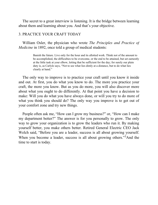The secret to a great interview is listening. It is the bridge between learning about them and learning about you. And that's your objective.

#### 3. PRACTICE YOUR CRAFT TODAY

William Osler, the physician who wrote *The Principles and Practice of Medicine* in 1892, once told a group of medical students:

> Banish the future. Live only for the hour and its allotted work. Think not of the amount to be accomplished, the difficulties to be overcome, or the end to be attained, but set earnestly at the little task at your elbow, letting that be sufficient for the day; for surely our plain duty is, as Carlyle says, "Not to see what lies dimly at a distance, but to do what lies clearly at hand."

The only way to improve is to practice your craft until you know it inside and out. At first, you do what you know to do. The more you practice your craft, the more you know. But as you do more, you will also discover more about what you ought to do differently. At that point you have a decision to make: Will you do what you have always done, or will you try to do more of what you think you should do? The only way you improve is to get out of your comfort zone and try new things.

People often ask me, "How can I grow my business?" or, "How can I make my department better?" The answer is for you personally to grow. The only way to grow your organization is to grow the leaders who run it. By making yourself better, you make others better. Retired General Electric CEO Jack Welch said, "Before you are a leader, success is all about growing yourself. When you become a leader, success is all about growing others."<sup>3</sup>And the time to start is today.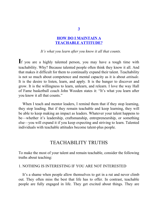#### **HOW DO I MAINTAIN A [TEACHABLE](#page-4-4) ATTITUDE?**

<span id="page-22-0"></span>*It's what you learn after you know it all that counts.*

**I**<sup>f</sup> you are <sup>a</sup> highly talented person, you may have <sup>a</sup> tough time with teachability. Why? Because talented people often think they know it all. And that makes it difficult for them to continually expand their talent. Teachability is not so much about competence and mental capacity as it is about *attitude*. It is the desire to listen, learn, and apply. It is the hunger to discover and grow. It is the willingness to learn, unlearn, and relearn. I love the way Hall of Fame basketball coach John Wooden states it: "It's what you learn after you know it all that counts."

When I teach and mentor leaders, I remind them that if they stop learning, they stop leading. But if they remain teachable and keep learning, they will be able to keep making an impact as leaders. Whatever your talent happens to be—whether it's leadership, craftsmanship, entrepreneurship, or something else—you will expand it if you keep expecting and striving to learn. Talented individuals with teachable attitudes become talent-plus people.

#### TEACHABILITY TRUTHS

To make the most of your talent and remain teachable, consider the following truths about teaching:

#### 1. NOTHING IS INTERESTING IF YOU ARE NOT INTERESTED

It's a shame when people allow themselves to get in a rut and never climb out. They often miss the best that life has to offer. In contrast, teachable people are fully engaged in life. They get excited about things. They are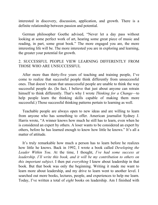interested in discovery, discussion, application, and growth. There is a definite relationship between passion and potential.

German philosopher Goethe advised, "Never let a day pass without looking at some perfect work of art, hearing some great piece of music and reading, in part, some great book." The more engaged you are, the more interesting life will be. The more interested you are in exploring and learning, the greater your potential for growth.

#### 2. SUCCESSFUL PEOPLE VIEW LEARNING DIFFERENTLY FROM THOSE WHO ARE UNSUCCESSFUL

After more than thirty-five years of teaching and training people, I've come to realize that successful people think differently from unsuccessful ones. That doesn't mean that unsuccessful people are unable to think the way successful people do. (In fact, I believe that just about anyone can retrain himself to think differently. That's why I wrote *Thinking for a Change*—to help people learn the thinking skills capable of making them more successful.) Those successful thinking patterns pertain to learning as well.

Teachable people are always open to new ideas and are willing to learn from anyone who has something to offer. American journalist Sydney J. Harris wrote, "A winner knows how much he still has to learn, even when he is considered an expert by others. A loser wants to be considered an expert by others, before he has learned enough to know how little he knows." It's all a matter of attitude.

It's truly remarkable how much a person has to learn before he realizes how little he knows. Back in 1992, I wrote a book called *Developing the Leader Within You*. At the time, I thought, *I've had some success at leadership. I'll write this book, and it will be my contribution to others on this important subject*. I then put *everything* I knew about leadership in that book. But that book was only the beginning. Writing it made me want to learn more about leadership, and my drive to learn went to another level. I searched out more books, lectures, people, and experiences to help me learn. Today, I've written a total of *eight* books on leadership. Am I finished with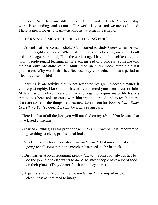that topic? No. There are still things to learn—and to teach. My leadership world is expanding, and so am I. The world is vast, and we are so limited. There is much for us to learn—as long as we remain teachable.

#### 3. LEARNING IS MEANT TO BE A LIFELONG PURSUIT

It's said that the Roman scholar Cato started to study Greek when he was more than eighty years old. When asked why he was tackling such a difficult task at his age, he replied, "It is the earliest age I have left." Unlike Cato, too many people regard learning as an event instead of a process. Someone told me that only one-third of all adults read an entire book after their last graduation. Why would that be? Because they view education as a period of life, not a way of life!

Learning is an activity that is not restricted by age. It doesn't matter if you're past eighty, like Cato, or haven't yet entered your teens. Author Julio Melara was only eleven years old when he began to acquire major life lessons that he has been able to carry with him into adulthood and to teach others. Here are some of the things he's learned, taken from his book *It Only Takes Everything You've Got!: Lessons for a Life of Success*.

Here is a list of all the jobs you will not find on my résumé but lessons that have lasted a lifetime:

- Started cutting grass for profit at age 11 *Lesson learned:* It is important to give things a clean, professional look.
- Stock clerk at a local food store *Lesson learned:* Making sure that if I am going to sell something, the merchandise needs to be in stock.
- Dishwasher at local restaurant *Lesson learned:* Somebody always has to do the job no one else wants to do. Also, most people have a lot of food on their plates. (They do not finish what they start.)
- A janitor at an office building *Lesson learned:* The importance of cleanliness as it related to image.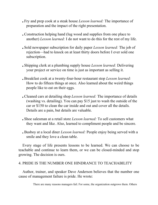- Fry and prep cook at a steak house *Lesson learned:* The importance of preparation and the impact of the right presentation.
- Construction helping hand (lug wood and supplies from one place to another) *Lesson learned:* I do not want to do this for the rest of my life.
- Sold newspaper subscription for daily paper *Lesson learned:* The job of rejection—had to knock on at least thirty doors before I ever sold one subscription.
- Shipping clerk at a plumbing supply house *Lesson learned:* Delivering your project or service on time is just as important as selling it.
- Breakfast cook at a twenty-four-hour restaurant stop *Lesson learned:* How to do fifteen things at once. Also learned about the weird things people like to eat on their eggs.
- Cleaned cars at detailing shop *Lesson learned:* The importance of details (washing vs. detailing). You can pay \$15 just to wash the outside of the car or \$150 to clean the car inside and out and cover all the details. Details are a pain, but details are valuable.
- Shoe salesman at a retail store *Lesson learned:* To sell customers what they want and like. Also, learned to compliment people and be sincere.
- Busboy at a local diner *Lesson learned:* People enjoy being served with a smile and they love a clean table.

Every stage of life presents lessons to be learned. We can choose to be teachable and continue to learn them, or we can be closed-minded and stop growing. The decision is ours.

#### 4. PRIDE IS THE NUMBER ONE HINDRANCE TO TEACHABILITY

Author, trainer, and speaker Dave Anderson believes that the number one cause of management failure is pride. He wrote:

There are many reasons managers fail. For some, the organization outgrows them. Others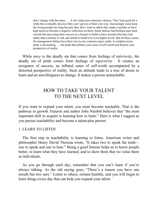don't change with the times . . . A few make poor character choices. They look good for a while but eventually discover they can't get out of their own way. Increasingly more keep the wrong people too long because they don't want to admit they made a mistake or have high turnover become a negative reflection on them. Some failures had brilliant past track records but start using their success as a license to build a fence around what they had rather than continue to risk and stretch to build it to even higher levels. But all these causes for management failure have their root in one common cause: pride. In simplest terms, pride is devastating . . . the pride that inflates your sense of self-worth and distorts your perspective of reality.

While envy is the deadly sin that comes from feelings of *inferiority*, the deadly sin of pride comes from feelings of *superiority* . It creates an arrogance of success, an inflated sense of self-worth accompanied by a distorted perspective of reality. Such an attitude leads to a loss of desire to learn and an unwillingness to change. It makes a person unteachable.

#### HOW TO TAKE YOUR TALENT TO THE NEXT LEVEL

If you want to expand your talent, you must become teachable. That is the pathway to growth. Futurist and author John Naisbitt believes that "the most important skill to acquire is learning how to learn." Here is what I suggest as you pursue teachability and become a talent-plus person:

#### 1. LEARN TO LISTEN

The first step in teachability is learning to listen. American writer and philosopher Henry David Thoreau wrote, "It takes two to speak the truth one to speak and one to hear." Being a good listener helps us to know people better, to learn what they have learned, and to show them that we value them as individuals.

As you go through each day, remember that you can't learn if you're always talking. As the old saying goes, "There's a reason you have one mouth but two ears." Listen to others, remain humble, and you will begin to learn things every day that can help you expand your talent.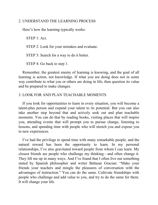#### 2. UNDERSTAND THE LEARNING PROCESS

Here's how the learning typically works:

STEP 1: Act.

STEP 2: Look for your mistakes and evaluate.

STEP 3: Search for a way to do it better.

STEP 4: Go back to step 1.

Remember, the greatest enemy of learning is knowing, and the goal of all learning is action, not knowledge. If what you are doing does not in some way contribute to what you or others are doing in life, then question its value and be prepared to make changes.

#### 3. LOOK FOR AND PLAN TEACHABLE MOMENTS

If you look for opportunities to learn in every situation, you will become a talent-plus person and expand your talent to its potential. But you can also take another step beyond that and actively seek out and plan teachable moments. You can do that by reading books, visiting places that will inspire you, attending events that will prompt you to pursue change, listening to lessons, and spending time with people who will stretch you and expose you to new experiences.

I've had the privilege to spend time with many remarkable people, and the natural reward has been the opportunity to learn. In my personal relationships, I've also gravitated toward people from whom I can learn. My closest friends are people who challenge my thinking—and often change it. They lift me up in many ways. And I've found that I often live out something stated by Spanish philosopher and writer Baltasar Gracian: "Make your friends your teachers and mingle the pleasures of conversation with the advantages of instruction." You can do the same. Cultivate friendships with people who challenge and add value to you, and try to do the same for them. It will change your life.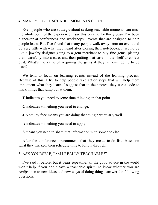#### 4. MAKE YOUR TEACHABLE MOMENTS COUNT

Even people who are strategic about seeking teachable moments can miss the whole point of the experience. I say this because for thirty years I've been a speaker at conferences and workshops—events that are designed to help people learn. But I've found that many people walk away from an event and do very little with what they heard after closing their notebooks. It would be like a jewelry designer going to a gem merchant to buy fine gems, placing them carefully into a case, and then putting that case on the shelf to collect dust. What's the value of acquiring the gems if they're never going to be used?

We tend to focus on learning events instead of the learning process. Because of this, I try to help people take action steps that will help them implement what they learn. I suggest that in their notes, they use a code to mark things that jump out at them:

**T** indicates you need to some time thinking on that point.

**C** indicates something you need to change.

**J** A smiley face means you are doing that thing particularly well.

**A** indicates something you need to apply.

**S** means you need to share that information with someone else.

After the conference I recommend that they create to-do lists based on what they marked, then schedule time to follow through.

#### 5. ASK YOURSELF, "AM I REALLY TEACHABLE?"

I've said it before, but it bears repeating: all the good advice in the world won't help if you don't have a teachable spirit. To know whether you are *really* open to new ideas and new ways of doing things, answer the following questions: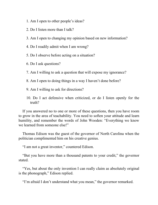- 1. Am I open to other people's ideas?
- 2. Do I listen more than I talk?
- 3. Am I open to changing my opinion based on new information?
- 4. Do I readily admit when I am wrong?
- 5. Do I observe before acting on a situation?
- 6. Do I ask questions?
- 7. Am I willing to ask a question that will expose my ignorance?
- 8. Am I open to doing things in a way I haven't done before?
- 9. Am I willing to ask for directions?
- 10. Do I act defensive when criticized, or do I listen openly for the truth?

If you answered no to one or more of these questions, then you have room to grow in the area of teachability. You need to soften your attitude and learn humility, and remember the words of John Wooden: "Everything we know we learned from someone else!"

Thomas Edison was the guest of the governor of North Carolina when the politician complimented him on his creative genius.

"I am not a great inventor," countered Edison.

"But you have more than a thousand patents to your credit," the governor stated.

"Yes, but about the only invention I can really claim as absolutely original is the phonograph," Edison replied.

"I'm afraid I don't understand what you mean," the governor remarked.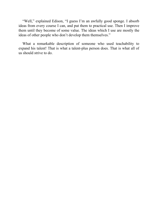"Well," explained Edison, "I guess I'm an awfully good sponge. I absorb ideas from every course I can, and put them to practical use. Then I improve them until they become of some value. The ideas which I use are mostly the ideas of other people who don't develop them themselves."

What a remarkable description of someone who used teachability to expand his talent! That is what a talent-plus person does. That is what all of us should strive to do.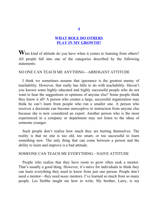#### **WHAT ROLE DO OTHERS PLAY IN MY [GROWTH?](#page-4-5)**

<span id="page-31-0"></span>What kind of attitude do you have when it comes to learning from others? All people fall into one of the categories described by the following statements:

#### NO ONE CAN TEACH ME ANYTHING—ARROGANT ATTITUDE

I think we sometimes assume that ignorance is the greatest enemy of teachability. However, that really has little to do with teachability. Haven't you known some highly educated and highly successful people who do not want to hear the suggestions or opinions of anyone else? Some people think they know it all! A person who creates a large, successful organization may think he can't learn from people who run a smaller one. A person who receives a doctorate can become unreceptive to instruction from anyone else because she is now considered an expert. Another person who is the most experienced in a company or department may not listen to the ideas of someone younger.

Such people don't realize how much they are hurting themselves. The reality is that no one is too old, too smart, or too successful to learn something new. The only thing that can come between a person and the ability to learn and improve is a bad attitude.

#### SOMEONE CAN TEACH ME EVERYTHING—NAIVE ATTITUDE

People who realize that they have room to grow often seek a mentor. That's usually a good thing. However, it's naive for individuals to think they can learn everything they need to know from just one person. People don't need *a* mentor—they need *many* mentors. I've learned so much from so many people. Les Stobbe taught me how to write. My brother, Larry, is my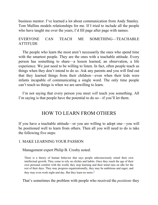business mentor. I've learned a lot about communication from Andy Stanley. Tom Mullins models relationships for me. If I tried to include all the people who have taught me over the years, I'd fill page after page with names.

#### EVERYONE CAN TEACH ME SOMETHING—TEACHABLE **ATTITUDE**

The people who learn the most aren't necessarily the ones who spend time with the smartest people. They are the ones with a teachable attitude. Every person has something to share—a lesson learned, an observation, a life experience. We just need to be willing to listen. In fact, often people teach us things when they don't intend to do so. Ask any parents and you will find out that they learned things from their children—even when their kids were infants incapable of communicating a single word. The only time people can't teach us things is when we are unwilling to learn.

I'm not saying that every person you meet *will* teach you something. All I'm saying is that people have the potential to do so—if you'll let them.

#### HOW TO LEARN FROM OTHERS

If you have a teachable attitude—or you are willing to adopt one—you will be positioned well to learn from others. Then all you will need to do is take the following five steps:

#### 1. MAKE LEARNING YOUR PASSION

Management expert Philip B. Crosby noted:

There is a theory of human behavior that says people subconsciously retard their own intellectual growth. They come to rely on clichés and habits. Once they reach the age of their own personal comfort with the world, they stop learning and their mind runs on idle for the rest of their days. They may progress organizationally, they may be ambitious and eager, and they may even work night and day. But they learn no more.<sup>[1](#page-72-5)</sup>

That's sometimes the problem with people who received the *positions* they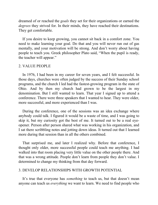dreamed of or reached the *goals* they set for their organizations or earned the *degrees* they strived for. In their minds, they have reached their destinations. They get comfortable.

If you desire to keep growing, you cannot sit back in a comfort zone. You need to make learning your goal. Do that and you will never run out of gas mentally, and your motivation will be strong. And don't worry about having people to teach you. Greek philosopher Plato said, "When the pupil is ready, the teacher will appear."

#### 2. VALUE PEOPLE

In 1976, I had been in my career for seven years, and I felt successful. In those days, churches were often judged by the success of their Sunday school programs, and the church I led had the fastest-growing program in the state of Ohio. And by then my church had grown to be the largest in my denomination. But I still wanted to learn. That year I signed up to attend a conference. There were three speakers that I wanted to hear. They were older, more successful, and more experienced than I was.

During the conference, one of the sessions was an idea exchange where anybody could talk. I figured it would be a waste of time, and I was going to skip it, but my curiosity got the best of me. It turned out to be a real eyeopener. Person after person shared what was working in his organization, and I sat there scribbling notes and jotting down ideas. It turned out that I learned more during that session than in all the others combined.

That surprised me, and later I realized why. Before that conference, I thought only older, more successful people could teach me anything. I had walked into that room placing very little value on the other people there. And that was a wrong attitude. People don't learn from people they don't value. I determined to change my thinking from that day forward.

#### 3. DEVELOP RELATIONSHIPS WITH GROWTH POTENTIAL

It's true that everyone has *something* to teach us, but that doesn't mean anyone can teach us *everything* we want to learn. We need to find people who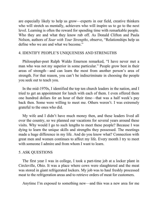are especially likely to help us grow—experts in our field, creative thinkers who will stretch us mentally, achievers who will inspire us to go to the next level. Learning is often the reward for spending time with remarkable people. Who they are and what they know rub off. As Donald Clifton and Paula Nelson, authors of *Soar with Your Strengths*, observe, "Relationships help us define who we are and what we become."

#### 4. IDENTIFY PEOPLE'S UNIQUENESS AND STRENGTHS

Philosopher-poet Ralph Waldo Emerson remarked, "I have never met a man who was not my superior in some particular." People grow best in their areas of strength—and can learn the most from another person's area of strength. For that reason, you can't be indiscriminate in choosing the people you seek out to teach you.

In the mid-1970s, I identified the top ten church leaders in the nation, and I tried to get an appointment for lunch with each of them. I even offered them one hundred dollars for an hour of their time—that was a half week's pay back then. Some were willing to meet me. Others weren't. I was extremely grateful to the ones who did.

My wife and I didn't have much money then, and these leaders lived all over the country, so we planned our vacations for several years around these visits. Why would I go to such lengths to meet these people? Because I was dying to learn the unique skills and strengths they possessed. The meetings made a huge difference in my life. And do you know what? Connection with great men and women continues to affect my life. Every month I try to meet with someone I admire and from whom I want to learn.

#### 5. ASK QUESTIONS

The first year I was in college, I took a part-time job at a locker plant in Circleville, Ohio. It was a place where cows were slaughtered and the meat was stored in giant refrigerated lockers. My job was to haul freshly processed meat to the refrigeration areas and to retrieve orders of meat for customers.

Anytime I'm exposed to something new—and this was a new area for me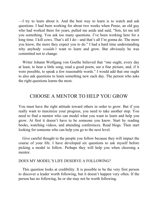—I try to learn about it. And the best way to learn is to watch and ask questions. I had been working for about two weeks when Pense, an old guy who had worked there for years, pulled me aside and said, "Son, let me tell you something. You ask too many questions. I've been working here for a long time. I kill cows. That's all I do—and that's all I'm gonna do. The more you know, the more they expect you to do." I had a hard time understanding why anybody *wouldn't* want to learn and grow. But obviously he was committed not to change.

Writer Johann Wolfgang von Goethe believed that "one ought, every day at least, to hear a little song, read a good poem, see a fine picture, and, if it were possible, to speak a few reasonable words." I would add that one ought to also ask questions to learn something new each day. The person who asks the right questions learns the most.

#### CHOOSE A MENTOR TO HELP YOU GROW

You must have the right attitude toward others in order to grow. But if you really want to maximize your progress, you need to take another step. You need to find a mentor who can model what you want to learn and help you grow. At first it doesn't have to be someone you know. Start by reading books, watching videos, and attending conferences. Read blogs. Then start looking for someone who can help you go to the next level.

Give careful thought to the people you follow because they will impact the course of your life. I have developed six questions to ask myself before picking a model to follow. Perhaps they will help you when choosing a mentor.

#### DOES MY MODEL'S LIFE DESERVE A FOLLOWING?

This question looks at credibility. It is possible to be the very first person to discover a leader worth following, but it doesn't happen very often. If the person has no following, he or she may not be worth following.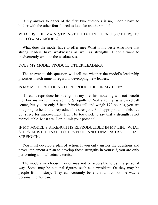If my answer to either of the first two questions is no, I don't have to bother with the other four. I need to look for another model.

## WHAT IS THE MAIN STRENGTH THAT INFLUENCES OTHERS TO FOLLOW MY MODEL?

What does the model have to offer me? What is his best? Also note that strong leaders have weaknesses as well as strengths. I don't want to inadvertently emulate the weaknesses.

#### DOES MY MODEL PRODUCE OTHER LEADERS?

The answer to this question will tell me whether the model's leadership priorities match mine in regard to developing new leaders.

#### IS MY MODEL'S STRENGTH REPRODUCIBLE IN MY LIFE?

If I can't reproduce his strength in my life, his modeling will not benefit me. For instance, if you admire Shaquille O'Neil's ability as a basketball center, but you're only 5 feet, 9 inches tall and weigh 170 pounds, you are not going to be able to reproduce his strengths. Find appropriate models . . . but strive for improvement. Don't be too quick to say that a strength is not reproducible. Most are. Don't limit your potential.

## IF MY MODEL'S STRENGTH IS REPRODUCIBLE IN MY LIFE, WHAT STEPS MUST I TAKE TO DEVELOP AND DEMONSTRATE THAT STRENGTH?

You must develop a plan of action. If you only answer the questions and never implement a plan to develop those strengths in yourself, you are only performing an intellectual exercise.

The models we choose may or may not be accessible to us in a personal way. Some may be national figures, such as a president. Or they may be people from history. They can certainly benefit you, but not the way a personal mentor can.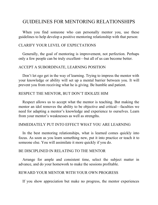## GUIDELINES FOR MENTORING RELATIONSHIPS

When you find someone who can personally mentor you, use these guidelines to help develop a positive mentoring relationship with that person:

#### CLARIFY YOUR LEVEL OF EXPECTATIONS

Generally, the goal of mentoring is improvement, not perfection. Perhaps only a few people can be truly excellent—but all of us can become better.

#### ACCEPT A SUBORDINATE, LEARNING POSITION

Don't let ego get in the way of learning. Trying to impress the mentor with your knowledge or ability will set up a mental barrier between you. It will prevent you from receiving what he is giving. Be humble and patient.

### RESPECT THE MENTOR, BUT DON'T IDOLIZE HIM

Respect allows us to accept what the mentor is teaching. But making the mentor an idol removes the ability to be objective and critical—faculties we need for adapting a mentor's knowledge and experience to ourselves. Learn from your mentor's weaknesses as well as strengths.

### IMMEDIATELY PUT INTO EFFECT WHAT YOU ARE LEARNING

In the best mentoring relationships, what is learned comes quickly into focus. As soon as you learn something new, put it into practice or teach it to someone else. You will assimilate it more quickly if you do.

#### BE DISCIPLINED IN RELATING TO THE MENTOR

Arrange for ample and consistent time, select the subject matter in advance, and do your homework to make the sessions profitable.

#### REWARD YOUR MENTOR WITH YOUR OWN PROGRESS

If you show appreciation but make no progress, the mentor experiences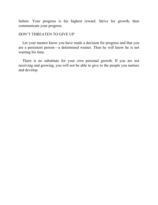failure. Your progress is his highest reward. Strive for growth, then communicate your progress.

## DON'T THREATEN TO GIVE UP

Let your mentor know you have made a decision for progress and that you are a persistent person—a determined winner. Then he will know he is not wasting his time.

There is no substitute for your own personal growth. If you are not receiving and growing, you will not be able to give to the people you nurture and develop.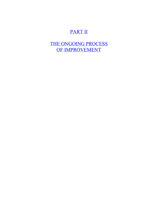# PART II

THE ONGOING PROCESS OF [IMPROVEMENT](#page-4-0)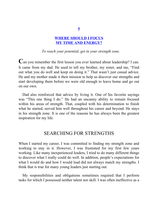## **WHERE SHOULD I FOCUS MY TIME AND [ENERGY?](#page-4-1)**

*To reach your potential, get in your strength zone.*

**C**an you remember the first lesson you ever learned about leadership? <sup>I</sup> can. It came from my dad. He used to tell my brother, my sister, and me, "Find out what you do well and keep on doing it." That wasn't just casual advice. He and my mother made it their mission to help us discover our strengths and start developing them before we were old enough to leave home and go out on our own.

Dad also reinforced that advice by living it. One of his favorite sayings was "This one thing I do." He had an uncanny ability to remain focused within his areas of strength. That, coupled with his determination to finish what he started, served him well throughout his career and beyond. He stays in his strength zone. It is one of the reasons he has always been the greatest inspiration for my life.

## SEARCHING FOR STRENGTHS

When I started my career, I was committed to finding my strength zone and working to stay in it. However, I was frustrated for my first few years working. Like many inexperienced leaders, I tried to do many different things to discover what I really could do well. In addition, people's expectations for what I would do and how I would lead did not always match my strengths. I think that is true for many young leaders just starting out.

My responsibilities and obligations sometimes required that I perform tasks for which I possessed neither talent nor skill. I was often ineffective as a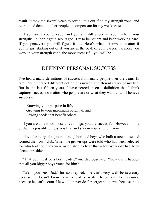result. It took me several years to sort all this out, find my strength zone, and recruit and develop other people to compensate for my weaknesses.

If you are a young leader and you are still uncertain about where your strengths lie, don't get discouraged. Try to be patient and keep working hard. If you persevere you will figure it out. Here's what I know: no matter if you're just starting out or if you are at the peak of your career, the more you work in your strength zone, the more successful you will be.

## DEFINING PERSONAL SUCCESS

I've heard many definitions of success from many people over the years. In fact, I've embraced different definitions myself at different stages of my life. But in the last fifteen years, I have zeroed in on a definition that I think captures success no matter who people are or what they want to do. I believe success is

Knowing your purpose in life, Growing to your maximum potential, and Sowing seeds that benefit others.

If you are able to do those three things, you are successful. However, none of them is possible unless you find and stay in your strength zone.

I love the story of a group of neighborhood boys who built a tree house and formed their own club. When the grown-ups were told who had been selected for which office, they were astonished to hear that a four-year-old had been elected president.

"That boy must be a born leader," one dad observed. "How did it happen that all you bigger boys voted for him?"

"Well, you see, Dad," his son replied, "he can't very well be secretary because he doesn't know how to read or write. He couldn't be treasurer, because he can't count. He would never do for sergeant at arms because he's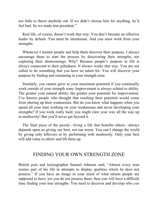too little to throw anybody out. If we didn't choose him for anything, he'd feel bad. So we made him president."

Real life, of course, doesn't work that way. You don't become an effective leader by default. You must be intentional. And you must work from your strengths.

Whenever I mentor people and help them discover their purpose, I always encourage them to start the process by discovering their strengths, not exploring their shortcomings. Why? Because people's purpose in life is always connected to their giftedness. It always works that way. You are not called to do something that you have no talent for. You will discover your purpose by finding and remaining in your strength zone.

Similarly, you cannot grow to your maximum potential if you continually work outside of your strength zone. Improvement is always related to ability. The greater your natural ability, the greater your potential for improvement. I've known people who thought that reaching their potential would come from shoring up their weaknesses. But do you know what happens when you spend all your time working on your weaknesses and never developing your strengths? If you work really hard, you might claw your way all the way up to mediocrity! But you'll never get beyond it.

The final piece of the puzzle—living a life that benefits others—always depends upon us giving our best, not our worst. You can't change the world by giving only leftovers or by performing with mediocrity. Only your best will add value to others and lift them up.

## FINDING YOUR OWN STRENGTH ZONE

British poet and lexicographer Samuel Johnson said, "Almost every man wastes part of his life in attempts to display qualities which he does not possess." If you have an image in your mind of what talents people are supposed to have, yet you do not possess them, then you will have a difficult time finding your true strengths. You need to discover and develop who *you*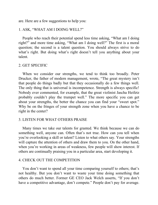are. Here are a few suggestions to help you:

## 1. ASK, "WHAT AM I DOING WELL?"

People who reach their potential spend less time asking, "What am I doing right?" and more time asking, "What am I doing well?" The first is a moral question; the second is a talent question. You should always strive to do what's right. But doing what's right doesn't tell you anything about your talent.

## 2. GET SPECIFIC

When we consider our strengths, we tend to think too broadly. Peter Drucker, the father of modern management, wrote, "The great mystery isn't that people do things badly but that they occasionally do a few things well. The only thing that is universal is incompetence. Strength is always specific! Nobody ever commented, for example, that the great violinist Jascha Heifetz probably couldn't play the trumpet well." The more specific you can get about your strengths, the better the chance you can find your "sweet spot." Why be on the fringes of your strength zone when you have a chance to be right in the center?

### 3. LISTEN FOR WHAT OTHERS PRAISE

Many times we take our talents for granted. We think because we can do something well, anyone can. Often that's not true. How can you tell when you're overlooking a skill or talent? Listen to what others say. Your strengths will capture the attention of others and draw them to you. On the other hand, when you're working in areas of weakness, few people will show interest. If others are continually praising you in a particular area, start developing it.

## 4. CHECK OUT THE COMPETITION

You don't want to spend all your time comparing yourself to others; that's not healthy. But you don't want to waste your time doing something that others do much better. Former GE CEO Jack Welch asserts, "If you don't have a competitive advantage, don't compete." People don't pay for average.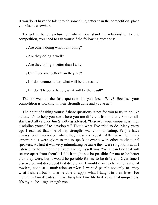If you don't have the talent to do something better than the competition, place your focus elsewhere.

To get a better picture of where you stand in relationship to the competition, you need to ask yourself the following questions:

Are others doing what I am doing?

Are they doing it well?

Are they doing it better than I am?

- Can I become better than they are?
- If I do become better, what will be the result?

If I don't become better, what will be the result?

The answer to the last question is: you lose. Why? Because your competition is working in their strength zone and you aren't!

The point of asking yourself these questions is not for you to try to be like others. It's to help you see where you are different from others. Former allstar baseball catcher Jim Sundberg advised, "Discover your uniqueness, then discipline yourself to develop it." That's what I've tried to do. Many years ago I realized that one of my strengths was communicating. People have always been motivated when they hear me speak. After a while, many opportunities were given to me to speak at events with other motivational speakers. At first it was very intimidating because they were so good. But as I listened to them, the thing I kept asking myself was, "What can I do that will set me apart from them?" I felt it might not be possible for me to be better than they were, but it would be possible for me to be different. Over time I discovered and developed that difference. I would strive to be a motivational *teacher*, not just a motivation *speaker*. I wanted people not only to enjoy what I shared but to also be able to apply what I taught to their lives. For more than two decades, I have disciplined my life to develop that uniqueness. It's my niche—my strength zone.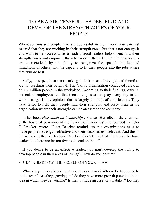# TO BE A SUCCESSFUL LEADER, FIND AND DEVELOP THE STRENGTH ZONES OF YOUR PEOPLE

Whenever you see people who are successful in their work, you can rest assured that they are working in their strength zone. But that's not enough if you want to be successful as a leader. Good leaders help others find their strength zones and empower them to work in them. In fact, the best leaders are characterized by the ability to recognize the special abilities and limitations of others, and the capacity to fit their people into the jobs where they will do best.

Sadly, most people are not working in their areas of strength and therefore are not reaching their potential. The Gallup organization conducted research on 1.7 million people in the workplace. According to their findings, only 20 percent of employees feel that their strengths are in play every day in the work setting.<sup>[1](#page-72-0)</sup> In my opinion, that is largely the fault of their leaders. They have failed to help their people find their strengths and place them in the organization where their strengths can be an asset to the company.

In her book *Hesselbein on Leadership* , Frances Hesselbein, the chairman of the board of governors of the Leader to Leader Institute founded by Peter F. Drucker, wrote, "Peter Drucker reminds us that organizations exist to make people's strengths effective and their weaknesses irrelevant. And this is the work of effective leaders. Drucker also tells us that there may be born leaders but there are far too few to depend on them."

If you desire to be an effective leader, you must develop the ability to develop people in their areas of strength. How do you do that?

### STUDY AND KNOW THE PEOPLE ON YOUR TEAM

What are your people's strengths and weaknesses? Whom do they relate to on the team? Are they growing and do they have more growth potential in the area in which they're working? Is their attitude an asset or a liability? Do they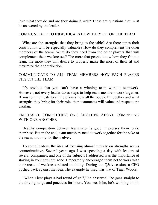love what they do and are they doing it well? These are questions that must be answered by the leader.

### COMMUNICATE TO INDIVIDUALS HOW THEY FIT ON THE TEAM

What are the strengths that they bring to the table? Are there times their contribution will be especially valuable? How do they complement the other members of the team? What do they need from the other players that will complement their weaknesses? The more that people know how they fit on a team, the more they will desire to properly make the most of their fit and maximize their contribution.

## COMMUNICATE TO ALL TEAM MEMBERS HOW EACH PLAYER FITS ON THE TEAM

It's obvious that you can't have a winning team without teamwork. However, not every leader takes steps to help team members work together. If you communicate to all the players how all the people fit together and what strengths they bring for their role, then teammates will value and respect one another.

## EMPHASIZE COMPLETING ONE ANOTHER ABOVE COMPETING WITH ONE ANOTHER

Healthy competition between teammates is good. It presses them to do their best. But in the end, team members need to work together for the sake of the team, not only for themselves.

To some leaders, the idea of focusing almost entirely on strengths seems counterintuitive. Several years ago I was spending a day with leaders of several companies, and one of the subjects I addressed was the importance of staying in your strength zone. I repeatedly encouraged them not to work with their areas of weakness related to ability. During the Q&A session, a CEO pushed back against the idea. The example he used was that of Tiger Woods.

"When Tiger plays a bad round of golf," he observed, "he goes straight to the driving range and practices for hours. You see, John, he's working on his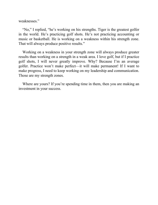weaknesses."

"No," I replied, "he's working on his strengths. Tiger is the greatest golfer in the world. He's practicing golf shots. He's not practicing accounting or music or basketball. He is working on a weakness within his strength zone. That will always produce positive results."

Working on a weakness in your strength zone will always produce greater results than working on a strength in a weak area. I love golf, but if I practice golf shots, I will never greatly improve. Why? Because I'm an average golfer. Practice won't make perfect—it will make permanent! If I want to make progress, I need to keep working on my leadership and communication. Those are my strength zones.

Where are yours? If you're spending time in them, then you are making an investment in your success.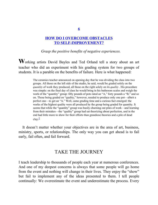## **HOW DO I OVERCOME OBSTACLES TO [SELF-IMPROVEMENT?](#page-4-2)**

*Grasp the positive benefits of negative experiences.*

**W**orking artists David Bayles and Ted Orland tell <sup>a</sup> story about an art teacher who did an experiment with his grading system for two groups of students. It is a parable on the benefits of failure. Here is what happened:

> The ceramics teacher announced on opening day that he was dividing the class into two groups. All those on the left side of the studio, he said, would be graded solely on the *quantity* of work they produced, all those on the right solely on its *quality* . His procedure was simple: on the final day of class he would bring in his bathroom scales and weigh the work of the "quantity" group: fifty pounds of pots rated an "A," forty pounds a "B," and so on. Those being graded on "quality," however, needed to produce only one pot—albeit a perfect one—to get an "A." Well, came grading time and a curious fact emerged: the works of the highest quality were all produced by the group being graded for quantity. It seems that while the "quantity" group was busily churning out piles of work—and learning from their mistakes—the "quality" group had sat theorizing about perfection, and in the end had little more to show for their efforts than grandiose theories and a pile of dead clay. $\frac{1}{2}$  $\frac{1}{2}$  $\frac{1}{2}$

It doesn't matter whether your objectives are in the area of art, business, ministry, sports, or relationships. The only way you can get ahead is to fail early, fail often, and fail forward.

## TAKE THE JOURNEY

I teach leadership to thousands of people each year at numerous conferences. And one of my deepest concerns is always that some people will go home from the event and nothing will change in their lives. They enjoy the "show" but fail to implement any of the ideas presented to them. I tell people continually: We overestimate the event and underestimate the process. Every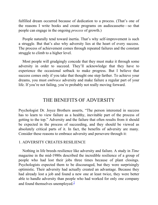fulfilled dream occurred because of dedication to a process. (That's one of the reasons I write books and create programs on audiocassette—so that people can engage in the ongoing *process* of growth.)

People naturally tend toward inertia. That's why self-improvement is such a struggle. But that's also why adversity lies at the heart of every success. The process of achievement comes through repeated failures and the constant struggle to climb to a higher level.

Most people will grudgingly concede that they must make it through some adversity in order to succeed. They'll acknowledge that they have to experience the occasional setback to make progress. But I believe that success comes only if you take that thought one step farther. To achieve your dreams, you must *embrace* adversity and make failure a regular part of your life. If you're not failing, you're probably not really moving forward.

## THE BENEFITS OF ADVERSITY

Psychologist Dr. Joyce Brothers asserts, "The person interested in success has to learn to view failure as a healthy, inevitable part of the process of getting to the top." Adversity and the failure that often results from it should be expected in the process of succeeding, and they should be viewed as absolutely critical parts of it. In fact, the benefits of adversity are many. Consider these reasons to embrace adversity and persevere through it:

## 1. ADVERSITY CREATES RESILIENCE

Nothing in life breeds resilience like adversity and failure. A study in *Time* magazine in the mid-1980s described the incredible resilience of a group of people who had lost their jobs three times because of plant closings. Psychologists expected them to be discouraged, but they were surprisingly optimistic. Their adversity had actually created an advantage. Because they had already lost a job and found a new one at least twice, they were better able to handle adversity than people who had worked for only one company and found themselves unemployed.<sup>[2](#page-72-2)</sup>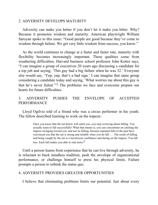## 2. ADVERSITY DEVELOPS MATURITY

Adversity can make you better if you don't let it make you bitter. Why? Because it promotes wisdom and maturity. American playwright William Saroyan spoke to this issue: "Good people are good because they've come to wisdom through failure. We get very little wisdom from success, you know."

As the world continues to change at a faster and faster rate, maturity with flexibility becomes increasingly important. These qualities come from weathering difficulties. Harvard business school professor John Kotter says, "I can imagine a group of executives 20 years ago discussing a candidate for a top job and saying, 'This guy had a big failure when he was 32.' Everyone else would say, 'Yep, yep, that's a bad sign.' I can imagine that same group considering a candidate today and saying, 'What worries me about this guy is that he's never failed."<sup>[3](#page-72-3)</sup> The problems we face and overcome prepare our hearts for future difficulties.

## 3. ADVERSITY PUSHES THE ENVELOPE OF ACCEPTED PERFORMANCE

Lloyd Ogilvie told of a friend who was a circus performer in his youth. The fellow described learning to work on the trapeze:

> Once you know that the net below will catch you, you stop worrying about falling. You actually learn to fall successfully! What that means is, you can concentrate on catching the trapeze swinging toward you, and not on falling, because repeated falls in the past have convinced you that the net is strong and reliable when you do fall . . . The result of falling and being caught by the net is a mysterious confidence and daring on the trapeze. You fall less. Each fall makes you able to risk more. $4$

Until a person learns from experience that he can live through adversity, he is reluctant to buck mindless tradition, push the envelope of organizational performance, or challenge himself to press his physical limits. Failure prompts a person to rethink the status quo.

### 4. ADVERSITY PROVIDES GREATER OPPORTUNITIES

I believe that eliminating problems limits our potential. Just about every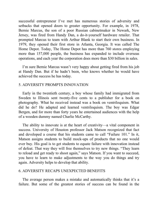successful entrepreneur I've met has numerous stories of adversity and setbacks that opened doors to greater opportunity. For example, in 1978, Bernie Marcus, the son of a poor Russian cabinetmaker in Newark, New Jersey, was fired from Handy Dan, a do-it-yourself hardware retailer. That prompted Marcus to team with Arthur Blank to start their own business. In 1979, they opened their first store in Atlanta, Georgia. It was called The Home Depot. Today, The Home Depot has more than 760 stores employing more than 157,000 people, the business has expanded to include overseas operations, and each year the corporation does more than \$30 billion in sales.

I'm sure Bernie Marcus wasn't very happy about getting fired from his job at Handy Dan. But if he hadn't been, who knows whether he would have achieved the success he has today.

#### 5. ADVERSITY PROMPTS INNOVATION

Early in the twentieth century, a boy whose family had immigrated from Sweden to Illinois sent twenty-five cents to a publisher for a book on photography. What he received instead was a book on ventriloquism. What did he do? He adapted and learned ventriloquism. The boy was Edgar Bergen, and for more than forty years he entertained audiences with the help of a wooden dummy named Charlie McCarthy.

The ability to innovate is at the heart of creativity—a vital component in success. University of Houston professor Jack Matson recognized that fact and developed a course that his students came to call "Failure 101." In it, Matson assigns students to build mock-ups of products that no one would ever buy. His goal is to get students to equate failure with innovation instead of defeat. That way they will free themselves to try new things. "They learn to reload and get ready to shoot again," says Matson. If you want to succeed, you have to learn to make adjustments to the way you do things and try again. Adversity helps to develop that ability.

#### 6. ADVERSITY RECAPS UNEXPECTED BENEFITS

The average person makes a mistake and automatically thinks that it's a failure. But some of the greatest stories of success can be found in the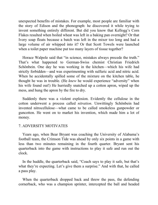unexpected benefits of mistakes. For example, most people are familiar with the story of Edison and the phonograph: he discovered it while trying to invent something entirely different. But did you know that Kellogg's Corn Flakes resulted when boiled wheat was left in a baking pan overnight? Or that Ivory soap floats because a batch was left in the mixer too long and had a large volume of air whipped into it? Or that Scott Towels were launched when a toilet paper machine put too many layers of tissue together?

Horace Walpole said that "in science, mistakes always precede the truth." That's what happened to German-Swiss chemist Christian Friedrich Schönbein. One day he was working in the kitchen—which his wife had strictly forbidden—and was experimenting with sulfuric acid and nitric acid. When he accidentally spilled some of the mixture on the kitchen table, he thought he was in trouble. (He *knew* he would experience "adversity" when his wife found out!) He hurriedly snatched up a cotton apron, wiped up the mess, and hung the apron by the fire to dry.

Suddenly there was a violent explosion. Evidently the cellulose in the cotton underwent a process called *nitration*. Unwittingly Schönbein had invented nitrocellulose—what came to be called smokeless gunpowder or guncotton. He went on to market his invention, which made him a lot of money.

### 7. ADVERSITY MOTIVATES

Years ago, when Bear Bryant was coaching the University of Alabama's football team, the Crimson Tide was ahead by only six points in a game with less than two minutes remaining in the fourth quarter. Bryant sent his quarterback into the game with instructions to play it safe and run out the clock.

In the huddle, the quarterback said, "Coach says to play it safe, but that's what they're expecting. Let's give them a surprise." And with that, he called a pass play.

When the quarterback dropped back and threw the pass, the defending cornerback, who was a champion sprinter, intercepted the ball and headed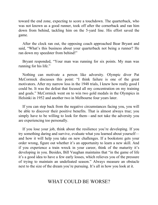toward the end zone, expecting to score a touchdown. The quarterback, who was not known as a good runner, took off after the cornerback and ran him down from behind, tackling him on the 5-yard line. His effort saved the game.

After the clock ran out, the opposing coach approached Bear Bryant and said, "What's this business about your quarterback not being a runner? He ran down my speedster from behind!"

Bryant responded, "Your man was running for six points. My man was running for his life."

Nothing can motivate a person like adversity. Olympic diver Pat McCormick discusses this point: "I think failure is one of the great motivators. After my narrow loss in the 1948 trials, I knew how really good I could be. It was the defeat that focused all my concentration on my training and goals." McCormick went on to win two gold medals in the Olympics in Helsinki in 1952 and another two in Melbourne four years later.

If you can step back from the negative circumstances facing you, you will be able to discover their positive benefits. That is almost always true; you simply have to be willing to look for them—and not take the adversity you are experiencing too personally.

If you lose your job, think about the resilience you're developing. If you try something daring and survive, evaluate what you learned about yourself and how it will help you take on new challenges. If a bookstore gets your order wrong, figure out whether it's an opportunity to learn a new skill. And if you experience a train wreck in your career, think of the maturity it's developing in you. Besides, Bill Vaughan maintains that "in the game of life it's a good idea to have a few early losses, which relieves you of the pressure of trying to maintain an undefeated season." Always measure an obstacle next to the size of the dream you're pursuing. It's all in how you look at it.

# WHAT COULD BE WORSE?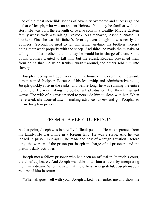One of the most incredible stories of adversity overcome and success gained is that of Joseph, who was an ancient Hebrew. You may be familiar with the story. He was born the eleventh of twelve sons in a wealthy Middle Eastern family whose trade was raising livestock. As a teenager, Joseph alienated his brothers. First, he was his father's favorite, even though he was nearly the youngest. Second, he used to tell his father anytime his brothers weren't doing their work properly with the sheep. And third, he made the mistake of telling his older brothers that one day he would be in charge of them. Some of his brothers wanted to kill him, but the eldest, Reuben, prevented them from doing that. So when Reuben wasn't around, the others sold him into slavery.

Joseph ended up in Egypt working in the house of the captain of the guard, a man named Potiphar. Because of his leadership and administrative skills, Joseph quickly rose in the ranks, and before long, he was running the entire household. He was making the best of a bad situation. But then things got worse. The wife of his master tried to persuade him to sleep with her. When he refused, she accused *him* of making advances to *her* and got Potiphar to throw Joseph in prison.

## FROM SLAVERY TO PRISON

At that point, Joseph was in a really difficult position. He was separated from his family. He was living in a foreign land. He was a slave. And he was locked in prison. But again, he made the best of a tough situation. Before long, the warden of the prison put Joseph in charge of all prisoners and the prison's daily activities.

Joseph met a fellow prisoner who had been an official in Pharaoh's court, the chief cupbearer. And Joseph was able to do him a favor by interpreting the man's dream. When he saw that the official was grateful, Joseph made a request of him in return.

"When all goes well with you," Joseph asked, "remember me and show me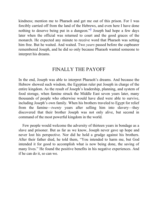kindness; mention me to Pharaoh and get me out of this prison. For I was forcibly carried off from the land of the Hebrews, and even here I have done nothing to deserve being put in a dungeon."<sup>[5](#page-72-5)</sup> Joseph had hope a few days later when the official was returned to court and the good graces of the monarch. He expected any minute to receive word that Pharaoh was setting him free. But he waited. And waited. Two *years* passed before the cupbearer remembered Joseph, and he did so only because Pharaoh wanted someone to interpret his dreams.

## FINALLY THE PAYOFF

In the end, Joseph was able to interpret Pharaoh's dreams. And because the Hebrew showed such wisdom, the Egyptian ruler put Joseph in charge of the entire kingdom. As the result of Joseph's leadership, planning, and system of food storage, when famine struck the Middle East seven years later, many thousands of people who otherwise would have died were able to survive, including Joseph's own family. When his brothers traveled to Egypt for relief from the famine—*twenty* years after selling him into slavery—they discovered that their brother Joseph was not only alive, but second in command of the most powerful kingdom in the world.

Few people would welcome the adversity of thirteen years in bondage as a slave and prisoner. But as far as we know, Joseph never gave up hope and never lost his perspective. Nor did he hold a grudge against his brothers. After their father died, he told them, "You intended to harm me, but God intended it for good to accomplish what is now being done, the saving of many lives." He found the positive benefits in his negative experiences. And if he can do it, so can we.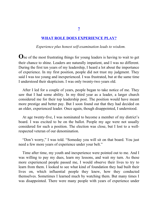**7**

#### **WHAT ROLE DOES [EXPERIENCE](#page-4-3) PLAY?**

#### *Experience plus honest self-examination leads to wisdom.*

**O**ne of the most frustrating things for young leaders is having to wait to get their chance to shine. Leaders are naturally impatient, and I was no different. During the first ten years of my leadership, I heard a lot about the importance of experience. In my first position, people did not trust my judgment. They said I was too young and inexperienced. I was frustrated, but at the same time I understood their skepticism. I was only twenty-two years old.

After I led for a couple of years, people began to take notice of me. They saw that I had some ability. In my third year as a leader, a larger church considered me for their top leadership post. The position would have meant more prestige and better pay. But I soon found out that they had decided on an older, experienced leader. Once again, though disappointed, I understood.

At age twenty-five, I was nominated to become a member of my district's board. I was excited to be on the ballot. People my age were not usually considered for such a position. The election was close, but I lost to a wellrespected veteran of our denomination.

"Don't worry," I was told. "Someday you will sit on that board. You just need a few more years of experience under your belt."

Time after time, my youth and inexperience were pointed out to me. And I was willing to pay my dues, learn my lessons, and wait my turn. As these more experienced people passed me, I would observe their lives to try to learn from them. I looked to see what kind of foundation they had built their lives on, which influential people they knew, how they conducted themselves. Sometimes I learned much by watching them. But many times I was disappointed. There were many people with years of experience under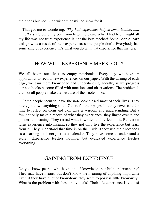their belts but not much wisdom or skill to show for it.

That got me to wondering: *Why had experience helped some leaders and not others* ? Slowly my confusion began to clear. What I had been taught all my life was not true: experience is not the best teacher! Some people learn and grow as a result of their experience; some people don't. Everybody has some kind of experience. It's what you do with that experience that matters.

## HOW WILL EXPERIENCE MARK YOU?

We all begin our lives as empty notebooks. Every day we have an opportunity to record new experiences on our pages. With the turning of each page, we gain more knowledge and understanding. Ideally, as we progress our notebooks become filled with notations and observations. The problem is that not all people make the best use of their notebooks.

Some people seem to leave the notebook closed most of their lives. They rarely jot down anything at all. Others fill their pages, but they never take the time to reflect on them and gain greater wisdom and understanding. But a few not only make a record of what they experience; they linger over it and ponder its meaning. They reread what is written and reflect on it. Reflection turns experience into insight, so they not only live the experience but learn from it. They understand that time is on their side if they use their notebook as a learning tool, not just as a calendar. They have come to understand a secret. Experience teaches nothing, but evaluated experience teaches everything.

## GAINING FROM EXPERIENCE

Do you know people who have lots of knowledge but little understanding? They may have means, but don't know the meaning of anything important? Even if they have a lot of know-how, they seem to possess little know-why? What is the problem with these individuals? Their life experience is void of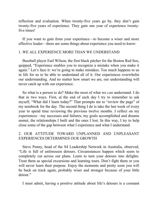reflection and evaluation. When twenty-five years go by, they don't gain twenty-five years of experience. They gain one year of experience twentyfive times!

If you want to gain from your experience—to become a wiser and more effective leader—there are some things about experience you need to know:

### 1. WE ALL EXPERIENCE MORE THAN WE UNDERSTAND

Baseball player Earl Wilson, the first black pitcher for the Boston Red Sox, quipped, "Experience enables you to recognize a mistake when you make it again." Let's face it: we're going to make mistakes. Too much happens to us in life for us to be able to understand all of it. Our experiences overwhelm our understanding. And no matter how smart we are, our understanding will never catch up with our experience.

So what is a person to do? Make the most of what we *can* understand. I do that in two ways. First, at the end of each day I try to remember to ask myself, "What did I learn today?" That prompts me to "review the page" of my notebook for the day. The second thing I do is take the last week of every year to spend time reviewing the previous twelve months. I reflect on my experiences—my successes and failures, my goals accomplished and dreams unmet, the relationships I built and the ones I lost. In this way, I try to help close some of the gap between what I experience and what I understand.

## 2. OUR ATTITUDE TOWARD UNPLANNED AND UNPLEASANT EXPERIENCES DETERMINES OUR GROWTH

Steve Penny, head of the S4 Leadership Network in Australia, observed, "Life is full of unforeseen detours. Circumstances happen which seem to completely cut across our plans. Learn to turn your detours into delights. Treat them as special excursions and learning tours. Don't fight them or you will never learn their purpose. Enjoy the moments and pretty soon you will be back on track again, probably wiser and stronger because of your little detour."

I must admit, having a positive attitude about life's detours is a constant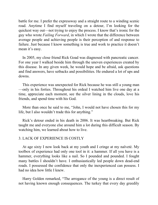battle for me. I prefer the expressway and a straight route to a winding scenic road. Anytime I find myself traveling on a detour, I'm looking for the quickest way out—not trying to enjoy the process. I know that's ironic for the guy who wrote *Failing Forward*, in which I wrote that the difference between average people and achieving people is their perception of and response to failure. Just because I know something is true and work to practice it doesn't mean it's easy.

In 2005, my close friend Rick Goad was diagnosed with pancreatic cancer. For one year I walked beside him through the uneven experiences created by this disease. In any given week, he would hope and be afraid, ask questions and find answers, have setbacks and possibilities. He endured a lot of ups and downs.

This experience was unexpected for Rick because he was still a young man —only in his forties. Throughout his ordeal I watched him live one day at a time, appreciate each moment, see the silver lining in the clouds, love his friends, and spend time with his God.

More than once he said to me, "John, I would not have chosen this for my life, but I also wouldn't trade this for anything."

Rick's detour ended in his death in 2006. It was heartbreaking. But Rick taught me and everyone else around him a lot during this difficult season. By watching him, we learned about how to live.

### 3. LACK OF EXPERIENCE IS COSTLY

At age sixty I now look back at my youth and I cringe at my naïveté. My toolbox of experience had only one tool in it: a hammer. If all you have is a hammer, everything looks like a nail. So I pounded and pounded. I fought many battles I shouldn't have. I enthusiastically led people down dead-end roads. I possessed the confidence that only the inexperienced can possess. I had no idea how little I knew.

Harry Golden remarked, "The arrogance of the young is a direct result of not having known enough consequences. The turkey that every day greedily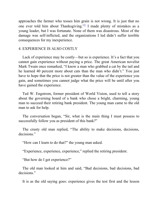approaches the farmer who tosses him grain is not wrong. It is just that no one ever told him about Thanksgiving."<sup>[1](#page-73-0)</sup> I made plenty of mistakes as a young leader, but I was fortunate. None of them was disastrous. Most of the damage was self-inflicted, and the organizations I led didn't suffer terrible consequences for my inexperience.

## 4. EXPERIENCE IS ALSO COSTLY

Lack of experience may be costly—but so is experience. It's a fact that you cannot gain experience without paying a price. The great American novelist Mark Twain once remarked, "I know a man who grabbed a cat by the tail and he learned 40 percent more about cats than the man who didn't." You just have to hope that the price is not greater than the value of the experience you gain, and sometimes you cannot judge what the price will be until after you have gained the experience.

Ted W. Engstrom, former president of World Vision, used to tell a story about the governing board of a bank who chose a bright, charming, young man to succeed their retiring bank president. The young man came to the old man to ask for help.

The conversation began, "Sir, what is the main thing I must possess to successfully follow you as president of this bank?"

The crusty old man replied, "The ability to make decisions, decisions, decisions."

"How can I learn to do that?" the young man asked.

"Experience, experience, experience," replied the retiring president.

"But how do I get experience?"

The old man looked at him and said, "Bad decisions, bad decisions, bad decisions."

It is as the old saying goes: experience gives the test first and the lesson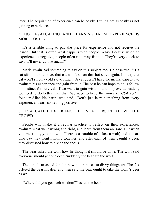later. The acquisition of experience can be costly. But it's not as costly as not gaining experience.

## 5. NOT EVALUATING AND LEARNING FROM EXPERIENCE IS MORE COSTLY

It's a terrible thing to pay the price for experience and not receive the lesson. But that is often what happens with people. Why? Because when an experience is negative, people often run away from it. They're very quick to say, "I'll never do that again!"

Mark Twain had something to say on this subject too. He observed, "If a cat sits on a hot stove, that cat won't sit on that hot stove again. In fact, that cat won't sit on a cold stove either." A cat doesn't have the mental capacity to evaluate his experience and gain from it. The best he can hope to do is follow his instinct for survival. If we want to gain wisdom and improve as leaders, we need to do better than that. We need to heed the words of *USA Today* founder Allen Neuharth, who said, "Don't just learn something from every experience. Learn something positive."

## 6. EVALUATED EXPERIENCE LIFTS A PERSON ABOVE THE CROWD

People who make it a regular practice to reflect on their experiences, evaluate what went wrong and right, and learn from them are rare. But when you meet one, you know it. There is a parable of a fox, a wolf, and a bear. One day they went hunting together, and after each of them caught a deer, they discussed how to divide the spoils.

The bear asked the wolf how he thought it should be done. The wolf said everyone should get one deer. Suddenly the bear ate the wolf.

Then the bear asked the fox how he proposed to divvy things up. The fox offered the bear his deer and then said the bear ought to take the wolf 's deer as well.

"Where did you get such wisdom?" asked the bear.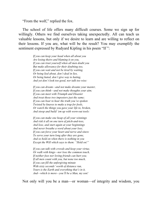"From the wolf," replied the fox.

The school of life offers many difficult courses. Some we sign up for willingly. Others we find ourselves taking unexpectedly. All can teach us valuable lessons, but only if we desire to learn and are willing to reflect on their lessons. If you are, what will be the result? You may exemplify the sentiment expressed by Rudyard Kipling in his poem "If":

> *If you can keep your head when all about you Are losing theirs and blaming it on you, If you can trust yourself when all men doubt you But make allowance for their doubting too, If you can wait and not be tired by waiting, Or being lied about, don't deal in lies, Or being hated, don't give way to hating, And yet don't look too good, nor talk too wise:*

*If you can dream—and not make dreams your master, If you can think—and not make thoughts your aim; If you can meet with Triumph and Disaster And treat those two impostors just the same; If you can bear to hear the truth you've spoken Twisted by knaves to make a trap for fools, Or watch the things you gave your life to, broken, And stoop and build 'em up with worn-out tools:*

*If you can make one heap of all your winnings And risk it all on one turn of pitch-and-toss, And lose, and start again at your beginnings And never breathe a word about your loss; If you can force your heart and nerve and sinew To serve your turn long after they are gone, And so hold on when there is nothing in you Except the Will which says to them: "Hold on!"*

*If you can talk with crowds and keep your virtue, Or walk with kings—nor lose the common touch, If neither foes nor loving friends can hurt you; If all men count with you, but none too much, If you can fill the unforgiving minute With sixty seconds' worth of distance run, Yours is the Earth and everything that's in it, And—which is more—you'll be a Man, my son!*

Not only will you be a man—or woman—of integrity and wisdom, you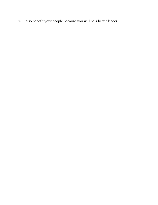will also benefit your people because you will be a better leader.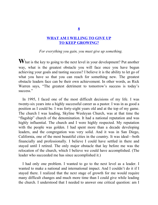## **WHAT AM I WILLING TO GIVE UP TO KEEP [GROWING?](#page-4-4)**

*For everything you gain, you must give up something.*

**W**hat is the key to going to the next level in your development? Put another way, what is the greatest obstacle you will face once you have begun achieving your goals and tasting success? I believe it is the ability to let go of what you have so that you can reach for something new. The greatest obstacle leaders face can be their own achievement. In other words, as Rick Warren says, "The greatest detriment to tomorrow's success is today's success."

In 1995, I faced one of the most difficult decisions of my life. I was twenty-six years into a highly successful career as a pastor. I was in as good a position as I could be. I was forty-eight years old and at the top of my game. The church I was leading, Skyline Wesleyan Church, was at that time the "flagship" church of the denomination. It had a national reputation and was highly influential. The church and I were highly respected. My reputation with the people was golden. I had spent more than a decade developing leaders, and the congregation was very solid. And it was in San Diego, California, one of the most beautiful cities in the country. It was ideal—both financially and professionally. I believe I could have settled in there and stayed until I retired. The only major obstacle that lay before me was the relocation of the church, which I believe we could have accomplished. (The leader who succeeded me has since accomplished it.)

I had only one problem. I wanted to go to the next level as a leader. I wanted to make a national and international impact. And I couldn't do it if I stayed there. I realized that the next stage of growth for me would require many difficult changes and much more time than I could give while leading the church. I understood that I needed to answer one critical question: am I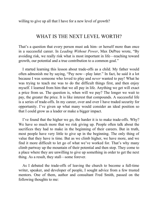willing to give up all that I have for a new level of growth?

## WHAT IS THE NEXT LEVEL WORTH?

That's a question that every person must ask him- or herself more than once in a successful career. In *Leading Without Power*, Max DePree wrote, "By avoiding risk, we really risk what is most important in life—reaching toward growth, our potential and a true contribution to a common goal."

I started learning this lesson about trade-offs as a child. My father would often admonish me by saying, "Pay now—play later." In fact, he said it a lot because I was someone who loved to play and *never* wanted to pay! What he was trying to teach me was to do the difficult things first, and then enjoy myself. I learned from him that we all pay in life. Anything we get will exact a price from us. The question is, when will we pay? The longer we wait to pay, the greater the price. It is like interest that compounds. A successful life is a series of trade-offs. In my career, over and over I have traded security for opportunity. I've given up what many would consider an ideal position so that I could grow as a leader or make a bigger impact.

I've found that the higher we go, the harder it is to make trade-offs. Why? We have so much more that we risk giving up. People often talk about the sacrifices they had to make in the beginning of their careers. But in truth, most people have very little to give up in the beginning. The only thing of value that they have is time. But as we climb higher, we have more, and we find it more difficult to let go of what we've worked for. That's why many climb partway up the mountain of their potential and then stop. They come to a place where they are unwilling to give up something in order to get the next thing. As a result, they stall—some forever.

As I debated the trade-offs of leaving the church to become a full-time writer, speaker, and developer of people, I sought advice from a few trusted mentors. One of them, author and consultant Fred Smith, passed on the following thoughts to me: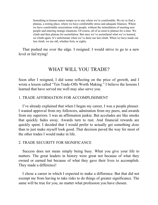Something in human nature tempts us to stay where we're comfortable. We try to find a plateau, a resting place, where we have comfortable stress and adequate finances. Where we have comfortable associations with people, without the intimidation of meeting new people and entering strange situations. Of course, all of us need to plateau for a time. We climb and then plateau for assimilation. But once we've assimilated what we've learned, we climb again. It's unfortunate when we've done our last climb. When we have made our last climb, we are old, whether forty or eighty.

That pushed me over the edge. I resigned. I would strive to go to a new level or fail trying!

## WHAT WILL YOU TRADE?

Soon after I resigned, I did some reflecting on the price of growth, and I wrote a lesson called "Ten Trade-Offs Worth Making." I believe the lessons I learned that have served me well may also serve you.

## 1. TRADE AFFIRMATION FOR ACCOMPLISHMENT

I've already explained that when I began my career, I was a people pleaser. I wanted approval from my followers, admiration from my peers, and awards from my superiors. I was an affirmation junkie. But accolades are like smoke that quickly fades away. Awards turn to rust. And financial rewards are quickly spent. I decided that I would prefer to actually get something *done* than to just make myself look good. That decision paved the way for most of the other trades I would make in life.

## 2. TRADE SECURITY FOR SIGNIFICANCE

Success does not mean simply being busy. What you give your life to matters. The great leaders in history were great not because of what they owned or earned but because of what they gave their lives to accomplish. They made a difference!

I chose a career in which I expected to make a difference. But that did not exempt me from having to take risks to do things of greater significance. The same will be true for you, no matter what profession you have chosen.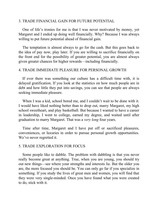### 3. TRADE FINANCIAL GAIN FOR FUTURE POTENTIAL

One of life's ironies for me is that I was never motivated by money, yet Margaret and I ended up doing well financially. Why? Because I was always willing to put future potential ahead of financial gain.

The temptation is almost always to go for the cash. But this goes back to the idea of pay now, play later. If you are willing to sacrifice financially on the front end for the possibility of greater potential, you are almost always given greater chances for higher rewards—including financially.

#### 4. TRADE IMMEDIATE PLEASURE FOR PERSONAL GROWTH

If ever there was something our culture has a difficult time with, it is delayed gratification. If you look at the statistics on how much people are in debt and how little they put into savings, you can see that people are always seeking immediate pleasure.

When I was a kid, school bored me, and I couldn't wait to be done with it. I would have liked nothing better than to drop out, marry Margaret, my high school sweetheart, and play basketball. But because I wanted to have a career in leadership, I went to college, earned my degree, and waited until after graduation to marry Margaret. That was a *very long* four years.

Time after time, Margaret and I have put off or sacrificed pleasures, conveniences, or luxuries in order to pursue personal growth opportunities. We've never regretted it.

#### 5. TRADE EXPLORATION FOR FOCUS

Some people like to dabble. The problem with dabbling is that you never really become great at anything. True, when you are young, you should try out new things—see where your strengths and interests lie. But the older you are, the more focused you should be. You can only go far if you specialize in something. If you study the lives of great men and women, you will find that they were very single-minded. Once you have found what you were created to do, stick with it.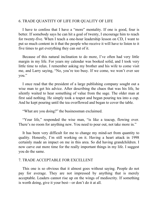### 6. TRADE QUANTITY OF LIFE FOR QUALITY OF LIFE

I have to confess that I have a "more" mentality. If one is good, four is better. If somebody says he can hit a goal of twenty, I encourage him to reach for twenty-five. When I teach a one-hour leadership lesson on CD, I want to put so much content in it that the people who receive it will have to listen to it five times to get everything they can out of it.

Because of this natural inclination to do more, I've often had very little margin in my life. For years my calendar was booked solid, and I took very little time to relax. I remember asking my brother and his wife to come visit me, and Larry saying, "No, you're too busy. If we come, we won't ever see you."

I once read that the president of a large publishing company sought out a wise man to get his advice. After describing the chaos that was his life, he silently waited to hear something of value from the sage. The older man at first said nothing. He simply took a teapot and began pouring tea into a cup. And he kept pouring until the tea overflowed and began to cover the table.

"What are you doing?" the businessman exclaimed.

"Your life," responded the wise man, "is like a teacup, flowing over. There's no room for anything new. You need to pour out, not take more in."

It has been very difficult for me to change my mind-set from quantity to quality. Honestly, I'm still working on it. Having a heart attack in 1998 certainly made an impact on me in this area. So did having grandchildren. I now carve out more time for the really important things in my life. I suggest you do the same.

#### 7. TRADE ACCEPTABLE FOR EXCELLENT

This one is so obvious that it almost goes without saying. People do not pay for average. They are not impressed by anything that is merely acceptable. Leaders cannot rise up on the wings of mediocrity. If something is worth doing, give it your best—or don't do it at all.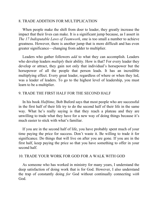### 8. TRADE ADDITION FOR MULTIPLICATION

When people make the shift from doer to leader, they greatly increase the impact that their lives can make. It is a significant jump because, as I assert in *The 17 Indisputable Laws of Teamwork*, one is too small a number to achieve greatness. However, there is another jump that is more difficult and has even greater significance—changing from adder to multiplier.

Leaders who gather followers *add* to what they can accomplish. Leaders who develop leaders *multiply* their ability. How is that? For every leader they develop or attract, they gain not only that individual's horsepower but the horsepower of all the people that person leads. It has an incredible multiplying effect. Every great leader, regardless of where or when they led, was a leader of leaders. To go to the highest level of leadership, you must learn to be a multiplier.

#### 9. TRADE THE FIRST HALF FOR THE SECOND HALF

In his book *Halftime*, Bob Buford says that most people who are successful in the first half of their life try to do the second half of their life in the same way. What he's really saying is that they reach a plateau and they are unwilling to trade what they have for a new way of doing things because it's much easier to stick with what's familiar.

If you are in the second half of life, you have probably spent much of your time paying the price for success. Don't waste it. Be willing to trade it for significance. Do things that will live on after you are gone. If you are in the first half, keep paying the price so that you have something to offer in your second half.

#### 10. TRADE YOUR WORK FOR GOD FOR A WALK WITH GOD

As someone who has worked in ministry for many years, I understand the deep satisfaction of doing work that is for God. However, I also understand the trap of constantly doing *for* God without continually connecting *with* God.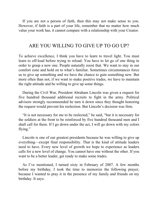If you are not a person of faith, then this may not make sense to you. However, if faith is a part of your life, remember that no matter how much value your work has, it cannot compare with a relationship with your Creator.

## ARE YOU WILLING TO GIVE UP TO GO UP?

To achieve excellence, I think you have to learn to travel light. You must learn to off-load before trying to reload. You have to let go of one thing in order to grasp a new one. People naturally resist that. We want to stay in our comfort zone and hold on to what's familiar. Sometimes circumstances force us to give up something and we have the chance to gain something new. But more often than not, if we want to make positive trades, we have to maintain the right attitude and be willing to give up some things.

During the Civil War, President Abraham Lincoln was given a request for five hundred thousand additional recruits to fight in the army. Political advisors strongly recommended he turn it down since they thought honoring the request would prevent his reelection. But Lincoln's decision was firm.

"It is not necessary for me to be reelected," he said, "but it is necessary for the soldiers at the front to be reinforced by five hundred thousand men and I shall call for them. If I go down under the act, I will go down with my colors flying."

Lincoln is one of our greatest presidents because he was willing to give up everything—except final responsibility. That is the kind of attitude leaders need to have. Every new level of growth we hope to experience as leaders calls for a new level of change. You cannot have one without the other. If you want to be a better leader, get ready to make some trades.

As I've mentioned, I turned sixty in February of 2007. A few months before my birthday, I took the time to memorize the following prayer, because I wanted to pray it in the presence of my family and friends on my birthday. It says: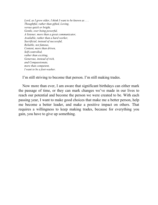*Lord, as I grow older, I think I want to be known as . . . Thoughtful, rather than gifted, Loving, versus quick or bright, Gentle, over being powerful, A listener, more than a great communicator, Available, rather than a hard worker, Sacrificial, instead of successful, Reliable, not famous, Content, more than driven, Self-controlled, rather than exciting, Generous, instead of rich, and Compassionate, more than competent, I want to be a foot-washer.*

I'm still striving to become that person. I'm still making trades.

Now more than ever, I am aware that significant birthdays can either mark the passage of time, or they can mark changes we've made in our lives to reach our potential and become the person we were created to be. With each passing year, I want to make good choices that make me a better person, help me become a better leader, and make a positive impact on others. That requires a willingness to keep making trades, because for everything you gain, you have to give up something.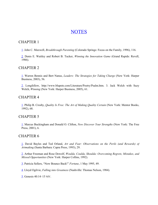# **[NOTES](#page-4-0)**

#### CHAPTER 1

[1.](#page-10-0) John C. Maxwell, *Breakthrough Parenting* (Colorado Springs: Focus on the Family, 1996), 116.

[2.](#page-11-0) Denis E. Waitley and Robert B. Tucker, *Winning the Innovation Game* (Grand Rapids: Revell, 1986).

#### CHAPTER 2

[1.](#page-18-0) Warren Bennis and Bert Nanus, *Leaders: The Strategies for Taking Charge* (New York: Harper Business, 2003), 56.

[2.](#page-20-0) Longfellow, http://www.blupete.com/Literature/Poetry/Psalm.htm. 3. Jack Welch with Suzy Welch, *Winning* (New York: Harper Business, 2005), 61.

## CHAPTER 4

[1.](#page-32-0) Philip B. Crosby, *Quality Is Free: The Art of Making Quality Certain* (New York: Mentor Books, 1992), 68.

#### CHAPTER 5

[1.](#page-45-0) Marcus Buckingham and Donald O. Clifton, *Now Discover Your Strengths* (New York: The Free Press, 2001), 6.

#### CHAPTER 6

[1.](#page-48-0) David Bayles and Ted Orland, *Art and Fear: Observations on the Perils (and Rewards) of Artmaking* (Santa Barbara: Capra Press, 1993), 29.

[2.](#page-49-0) Arthur Freeman and Rose Dewolf, *Woulda, Coulda, Shoulda: Overcoming Regrets, Mistakes, and Missed Opportunities* (New York: Harper Collins, 1992).

[3.](#page-50-0) Patricia Sellers, "Now Bounce Back!" *Fortune*, 1 May 1995, 49.

[4.](#page-50-1) Lloyd Ogilvie, *Falling into Greatness* (Nashville: Thomas Nelson, 1984).

[5.](#page-55-0) Genesis 40:14–15 NIV.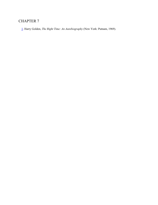# CHAPTER 7

[1.](#page-60-0) Harry Golden, *The Right Time: An Autobiography* (New York: Putnam, 1969).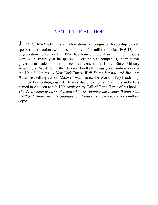# ABOUT THE [AUTHOR](#page-4-1)

**J**OHN C. MAXWELL is an internationally recognized leadership expert, speaker, and author who has sold over 16 million books. EQUIP, the organization he founded in 1996 has trained more than 2 million leaders worldwide. Every year he speaks to Fortune 500 companies, international government leaders, and audiences as diverse as the United States Military Academy at West Point, the National Football League, and ambassadors at the United Nations. A *New York Times, Wall Street Journal,* and *Business Week* best-selling author, Maxwell was named the World's Top Leadership Guru by Leadershipgurus.net. He was also one of only 25 authors and artists named to Amazon.com's 10th Anniversary Hall of Fame. Three of his books, *The 21 Irrefutable Laws of Leadership, Developing the Leader Within You,* and *The 21 Indispensable Qualities of a Leader* have each sold over a million copies.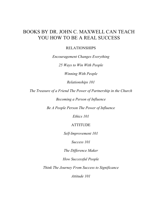# BOOKS BY DR. JOHN C. MAXWELL CAN TEACH YOU HOW TO BE A REAL SUCCESS

#### RELATIONSHIPS

*Encouragement Changes Everything*

*25 Ways to Win With People*

*Winning With People*

*Relationships 101*

*The Treasure of a Friend The Power of Partnership in the Church*

*Becoming a Person of Influence*

*Be A People Person The Power of Influence*

*Ethics 101*

## **ATTITUDE**

*Self-Improvement 101*

*Success 101*

*The Dif erence Maker*

*How Successful People*

*Think The Journey From Success to Significance*

*Attitude 101*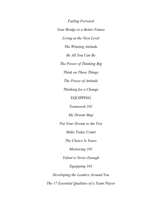*Failing Forward Your Bridge to a Better Future Living at the Next Level The Winning Attitude Be All You Can Be The Power of Thinking Big Think on These Things The Power of Attitude Thinking for a Change* EQUIPPING *Teamwork 101 My Dream Map Put Your Dream to the Test Make Today Count The Choice Is Yours Mentoring 101 Talent is Never Enough Equipping 101 Developing the Leaders Around You*

*The 17 Essential Qualities of a Team Player*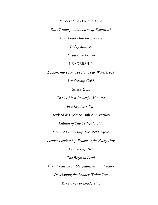*Success One Day at a Time The 17 Indisputable Laws of Teamwork*

*Your Road Map for Success*

*Today Matters*

*Partners in Prayer*

## LEADERSHIP

*Leadership Promises For Your Work Week*

*Leadership Gold*

*Go for Gold*

*The 21 Most Powerful Minutes*

*in a Leader's Day*

Revised & Updated 10th Anniversary

*Edition of The 21 Irrefutable*

*Laws of Leadership The 360 Degree*

*Leader Leadership Promises for Every Day*

*Leadership 101*

*The Right to Lead*

*The 21 Indispensable Qualities of a Leader*

*Developing the Leader Within You*

*The Power of Leadership*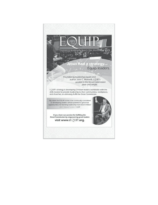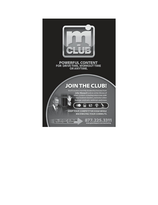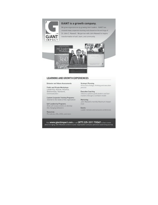

#### GIANT is a growth company.

We grow organizations by growing their leaders. GIANT has created many corporate training tools based on the writings of Dr. John C. Maxwell. We partner with John Maxwell to inspire transformation of self, team, and community.



#### **LEARNING AND GROWTH EXPERIENCES**

#### **Behavior and Values Assessments**

Public and Private Workshops Leadership, Attitude, Influence, Relationships, Teamwork, Communication

**Custom Corporate Training Programs** Tailored to the needs of the organization

Self Leadership Programs Daily self-study activities to develop life-changing behaviors

Resources Periodicals, CDs, DVDs, and more

**Strategic Planning** A focused strategic thinking and execution process

**Executive Coaching** Industry captains guide leaders and fasttrackers through a confidant model

Mentoring John Maxwell's monthly Maximum Impact<br>Club

Events Leader retreats and exclusive conferences

Visit www.giantimpact.com or call (877) 225-3311 TODAY to learn more about bringing John Maxwell content to your organization and your personal leadership journey.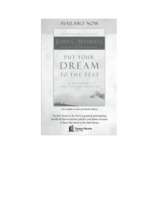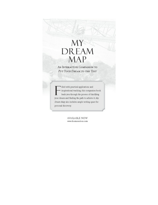# **MY DREAM MAP**

AN INTERACTIVE COMPANION TO PUT YOUR DREAM TO THE TEST

" illed with practical applications and inspirational teaching, this companion book leads you through the process of clarifying your dream and finding the path to achieve it. My  $Dream\ Map$  also includes ample writing space for personal discovery.

> AVAILABLE NOW www.thomasa dson.com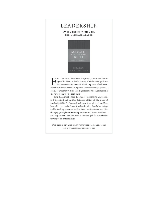# LEADERSHIP.

IT ALL BEGINS WITH GOD, THE ULTIMATE LEADER.



Trom Genesis to Revelation, the people, events, and teachings of the Bible are God's treasury of wisdom and guidance for anyone who has been called to be a person of influence. Whether you're an executive, a pastor, an entrepreneur, a parent, a coach, or a teacher, you are a leader, someone who influences and encourages others on a daily basis.

John C. Maxwell brings the laws of leadership to a new level in this revised and updated briefcase edition of The Maxwell Leadership Bible. Dr Maxwell walks you through the New King James Bible text as he draws from his decades of godly leadership and best-selling resources to illuminate the time-tested and lifechanging principles of leadership in Scripture. Now available in a new easy to carry size, this Bible is the ideal gift for every leader striving to be extraordinary.

FOR MORE DETAILS VISIT WWW.NELSONBIBLES.COM OR WWW.THOMASNELSON.COM